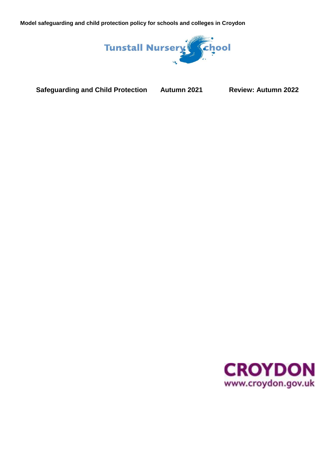

**Safeguarding and Child Protection Autumn 2021 Review: Autumn 2022**

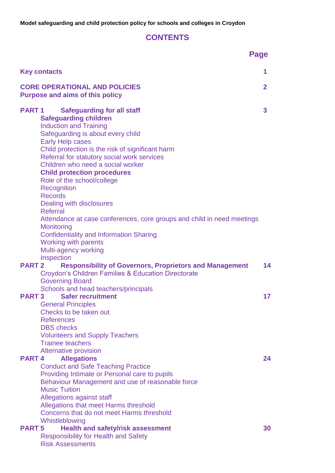# **CONTENTS**

|                                                                                                                                                                                                                                                                                                                                                                                                                                                                                                                                                                                                                                                                          | <b>Page</b>    |
|--------------------------------------------------------------------------------------------------------------------------------------------------------------------------------------------------------------------------------------------------------------------------------------------------------------------------------------------------------------------------------------------------------------------------------------------------------------------------------------------------------------------------------------------------------------------------------------------------------------------------------------------------------------------------|----------------|
| <b>Key contacts</b>                                                                                                                                                                                                                                                                                                                                                                                                                                                                                                                                                                                                                                                      | 1              |
| <b>CORE OPERATIONAL AND POLICIES</b><br><b>Purpose and aims of this policy</b>                                                                                                                                                                                                                                                                                                                                                                                                                                                                                                                                                                                           | $\overline{2}$ |
| <b>Safeguarding for all staff</b><br><b>PART1</b><br><b>Safeguarding children</b><br><b>Induction and Training</b><br>Safeguarding is about every child<br><b>Early Help cases</b><br>Child protection is the risk of significant harm<br>Referral for statutory social work services<br>Children who need a social worker<br><b>Child protection procedures</b><br>Role of the school/college<br>Recognition<br><b>Records</b><br>Dealing with disclosures<br>Referral<br>Attendance at case conferences, core groups and child in need meetings<br>Monitoring<br><b>Confidentiality and Information Sharing</b><br><b>Working with parents</b><br>Multi-agency working | 3              |
| Inspection<br><b>PART 2</b><br><b>Responsibility of Governors, Proprietors and Management</b><br><b>Croydon's Children Families &amp; Education Directorate</b><br><b>Governing Board</b>                                                                                                                                                                                                                                                                                                                                                                                                                                                                                | 14             |
| Schools and head teachers/principals<br><b>Safer recruitment</b><br><b>PART3</b><br><b>General Principles</b><br>Checks to be taken out<br><b>References</b><br><b>DBS</b> checks<br><b>Volunteers and Supply Teachers</b><br><b>Trainee teachers</b><br><b>Alternative provision</b>                                                                                                                                                                                                                                                                                                                                                                                    | 17             |
| <b>PART4</b><br><b>Allegations</b><br><b>Conduct and Safe Teaching Practice</b><br>Providing Intimate or Personal care to pupils<br>Behaviour Management and use of reasonable force<br><b>Music Tuition</b><br>Allegations against staff<br>Allegations that meet Harms threshold<br>Concerns that do not meet Harms threshold<br>Whistleblowing                                                                                                                                                                                                                                                                                                                        | 24             |
| <b>Health and safety/risk assessment</b><br><b>PART 5</b><br><b>Responsibility for Health and Safety</b><br><b>Risk Assessments</b>                                                                                                                                                                                                                                                                                                                                                                                                                                                                                                                                      | 30             |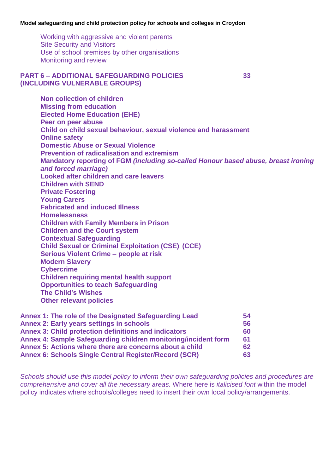Working with aggressive and violent parents Site Security and Visitors Use of school premises by other organisations Monitoring and review

#### **PART 6 – ADDITIONAL SAFEGUARDING POLICIES 33 (INCLUDING VULNERABLE GROUPS)**

**Non collection of children Missing from education Elected Home Education (EHE) Peer on peer abuse Child on child sexual behaviour, sexual violence and harassment Online safety Domestic Abuse or Sexual Violence Prevention of radicalisation and extremism Mandatory reporting of FGM** *(including so-called Honour based abuse, breast ironing and forced marriage)* **Looked after children and care leavers Children with SEND Private Fostering Young Carers Fabricated and induced Illness Homelessness Children with Family Members in Prison Children and the Court system Contextual Safeguarding Child Sexual or Criminal Exploitation (CSE) (CCE) Serious Violent Crime – people at risk Modern Slavery Cybercrime Children requiring mental health support Opportunities to teach Safeguarding The Child's Wishes Other relevant policies**

| Annex 1: The role of the Designated Safeguarding Lead          | 54 |
|----------------------------------------------------------------|----|
| <b>Annex 2: Early years settings in schools</b>                | 56 |
| <b>Annex 3: Child protection definitions and indicators</b>    | 60 |
| Annex 4: Sample Safeguarding children monitoring/incident form | 61 |
| Annex 5: Actions where there are concerns about a child        | 62 |
| <b>Annex 6: Schools Single Central Register/Record (SCR)</b>   | 63 |

*Schools should use this model policy to inform their own safeguarding policies and procedures are comprehensive and cover all the necessary areas.* Where here is *italicised font* within the model policy indicates where schools/colleges need to insert their own local policy/arrangements.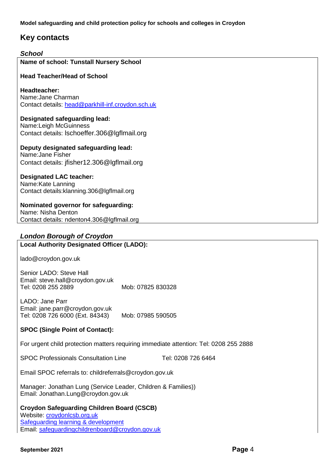## **Key contacts**

| <b>School</b>                                                                                              |  |  |  |  |  |  |  |
|------------------------------------------------------------------------------------------------------------|--|--|--|--|--|--|--|
| Name of school: Tunstall Nursery School                                                                    |  |  |  |  |  |  |  |
| <b>Head Teacher/Head of School</b>                                                                         |  |  |  |  |  |  |  |
| Headteacher:<br>Name: Jane Charman<br>Contact details: head@parkhill-inf.croydon.sch.uk                    |  |  |  |  |  |  |  |
| Designated safeguarding lead:<br>Name:Leigh McGuinness<br>Contact details: Ischoeffer.306@lgflmail.org     |  |  |  |  |  |  |  |
| Deputy designated safeguarding lead:<br>Name: Jane Fisher<br>Contact details: jfisher12.306@lgflmail.org   |  |  |  |  |  |  |  |
| <b>Designated LAC teacher:</b><br>Name:Kate Lanning<br>Contact details: klanning. 306@lgflmail.org         |  |  |  |  |  |  |  |
| Nominated governor for safeguarding:<br>Name: Nisha Denton<br>Contact details: ndenton4.306@lgflmail.org   |  |  |  |  |  |  |  |
| <b>London Borough of Croydon</b>                                                                           |  |  |  |  |  |  |  |
| <b>Local Authority Designated Officer (LADO):</b>                                                          |  |  |  |  |  |  |  |
| lado@croydon.gov.uk                                                                                        |  |  |  |  |  |  |  |
| Senior LADO: Steve Hall<br>Email: steve.hall@croydon.gov.uk<br>Tel: 0208 255 2889<br>Mob: 07825 830328     |  |  |  |  |  |  |  |
| LADO: Jane Parr<br>Email: jane.parr@croydon.gov.uk<br>Tel: 0208 726 6000 (Ext. 84343)<br>Mob: 07985 590505 |  |  |  |  |  |  |  |
| <b>SPOC (Single Point of Contact):</b>                                                                     |  |  |  |  |  |  |  |
| For urgent child protection matters requiring immediate attention: Tel: 0208 255 2888                      |  |  |  |  |  |  |  |
| <b>SPOC Professionals Consultation Line</b><br>Tel: 0208 726 6464                                          |  |  |  |  |  |  |  |
| Email SPOC referrals to: childreferrals@croydon.gov.uk                                                     |  |  |  |  |  |  |  |
| Manager: Jonathan Lung (Service Leader, Children & Families))<br>Email: Jonathan.Lung@croydon.gov.uk       |  |  |  |  |  |  |  |
| <b>Croydon Safeguarding Children Board (CSCB)</b>                                                          |  |  |  |  |  |  |  |

Website: <u>croydonlcsb.org.uk</u> **[Safeguarding learning & development](http://croydonlcsb.org.uk/professionals/learning-development/)** Email: [safeguardingchildrenboard@croydon.gov.uk](mailto:safeguardingchildrenboard@croydon.gov.uk)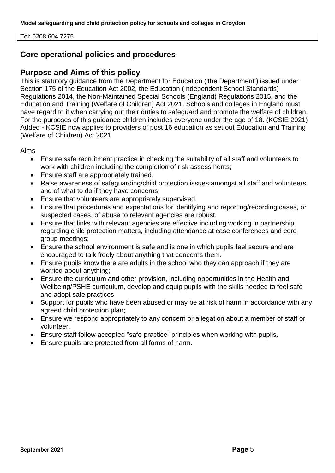Tel: 0208 604 7275

## **Core operational policies and procedures**

## **Purpose and Aims of this policy**

This is statutory guidance from the Department for Education ('the Department') issued under Section 175 of the Education Act 2002, the Education (Independent School Standards) Regulations 2014, the Non-Maintained Special Schools (England) Regulations 2015, and the Education and Training (Welfare of Children) Act 2021. Schools and colleges in England must have regard to it when carrying out their duties to safeguard and promote the welfare of children. For the purposes of this guidance children includes everyone under the age of 18. (KCSIE 2021) Added - KCSIE now applies to providers of post 16 education as set out Education and Training (Welfare of Children) Act 2021

Aims

- Ensure safe recruitment practice in checking the suitability of all staff and volunteers to work with children including the completion of risk assessments;
- Ensure staff are appropriately trained.
- Raise awareness of safeguarding/child protection issues amongst all staff and volunteers and of what to do if they have concerns;
- Ensure that volunteers are appropriately supervised.
- Ensure that procedures and expectations for identifying and reporting/recording cases, or suspected cases, of abuse to relevant agencies are robust.
- Ensure that links with relevant agencies are effective including working in partnership regarding child protection matters, including attendance at case conferences and core group meetings;
- Ensure the school environment is safe and is one in which pupils feel secure and are encouraged to talk freely about anything that concerns them.
- Ensure pupils know there are adults in the school who they can approach if they are worried about anything;
- Ensure the curriculum and other provision, including opportunities in the Health and Wellbeing/PSHE curriculum, develop and equip pupils with the skills needed to feel safe and adopt safe practices
- Support for pupils who have been abused or may be at risk of harm in accordance with any agreed child protection plan;
- Ensure we respond appropriately to any concern or allegation about a member of staff or volunteer.
- Ensure staff follow accepted "safe practice" principles when working with pupils.
- Ensure pupils are protected from all forms of harm.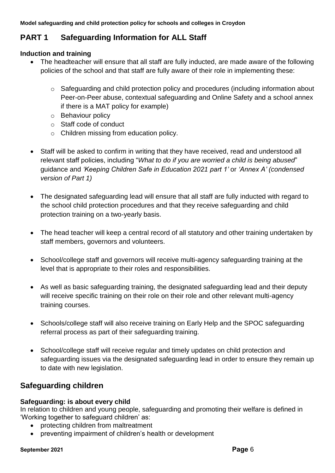# **PART 1 Safeguarding Information for ALL Staff**

## **Induction and training**

- The headteacher will ensure that all staff are fully inducted, are made aware of the following policies of the school and that staff are fully aware of their role in implementing these:
	- o Safeguarding and child protection policy and procedures (including information about Peer-on-Peer abuse, contextual safeguarding and Online Safety and a school annex if there is a MAT policy for example)
	- o Behaviour policy
	- o Staff code of conduct
	- o Children missing from education policy.
- Staff will be asked to confirm in writing that they have received, read and understood all relevant staff policies, including "*What to do if you are worried a child is being abused*" guidance and *'Keeping Children Safe in Education 2021 part 1'* or *'Annex A' (condensed version of Part 1)*
- The designated safeguarding lead will ensure that all staff are fully inducted with regard to the school child protection procedures and that they receive safeguarding and child protection training on a two-yearly basis.
- The head teacher will keep a central record of all statutory and other training undertaken by staff members, governors and volunteers.
- School/college staff and governors will receive multi-agency safeguarding training at the level that is appropriate to their roles and responsibilities.
- As well as basic safeguarding training, the designated safeguarding lead and their deputy will receive specific training on their role on their role and other relevant multi-agency training courses.
- Schools/college staff will also receive training on Early Help and the SPOC safeguarding referral process as part of their safeguarding training.
- School/college staff will receive regular and timely updates on child protection and safeguarding issues via the designated safeguarding lead in order to ensure they remain up to date with new legislation.

# **Safeguarding children**

## **Safeguarding: is about every child**

In relation to children and young people, safeguarding and promoting their welfare is defined in 'Working together to safeguard children' as:

- protecting children from maltreatment
- preventing impairment of children's health or development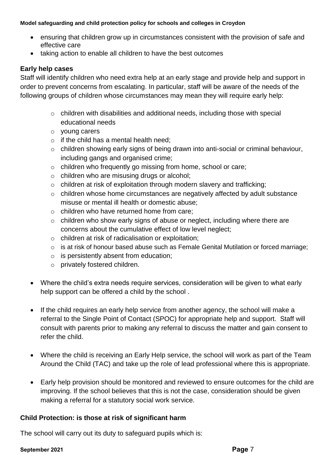- ensuring that children grow up in circumstances consistent with the provision of safe and effective care
- taking action to enable all children to have the best outcomes

### **Early help cases**

Staff will identify children who need extra help at an early stage and provide help and support in order to prevent concerns from escalating. In particular, staff will be aware of the needs of the following groups of children whose circumstances may mean they will require early help:

- o children with disabilities and additional needs, including those with special educational needs
- o young carers
- $\circ$  if the child has a mental health need:
- o children showing early signs of being drawn into anti-social or criminal behaviour, including gangs and organised crime:
- o children who frequently go missing from home, school or care;
- o children who are misusing drugs or alcohol;
- o children at risk of exploitation through modern slavery and trafficking;
- o children whose home circumstances are negatively affected by adult substance misuse or mental ill health or domestic abuse;
- o children who have returned home from care;
- o children who show early signs of abuse or neglect, including where there are concerns about the cumulative effect of low level neglect;
- o children at risk of radicalisation or exploitation;
- o is at risk of honour based abuse such as Female Genital Mutilation or forced marriage;
- o is persistently absent from education;
- o privately fostered children.
- Where the child's extra needs require services, consideration will be given to what early help support can be offered a child by the school .
- If the child requires an early help service from another agency, the school will make a referral to the Single Point of Contact (SPOC) for appropriate help and support. Staff will consult with parents prior to making any referral to discuss the matter and gain consent to refer the child.
- Where the child is receiving an Early Help service, the school will work as part of the Team Around the Child (TAC) and take up the role of lead professional where this is appropriate.
- Early help provision should be monitored and reviewed to ensure outcomes for the child are improving. If the school believes that this is not the case, consideration should be given making a referral for a statutory social work service.

## **Child Protection: is those at risk of significant harm**

The school will carry out its duty to safeguard pupils which is:

#### **September 2021 Page** 7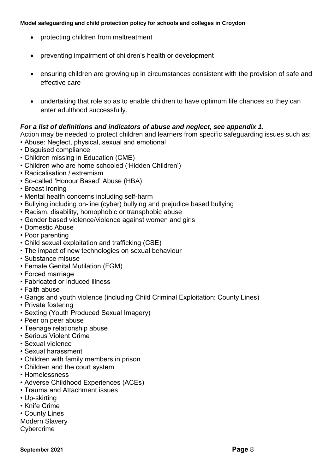- protecting children from maltreatment
- preventing impairment of children's health or development
- ensuring children are growing up in circumstances consistent with the provision of safe and effective care
- undertaking that role so as to enable children to have optimum life chances so they can enter adulthood successfully.

### *For a list of definitions and indicators of abuse and neglect, see appendix 1.*

Action may be needed to protect children and learners from specific safeguarding issues such as:

- Abuse: Neglect, physical, sexual and emotional
- Disguised compliance
- Children missing in Education (CME)
- Children who are home schooled ('Hidden Children')
- Radicalisation / extremism
- So-called 'Honour Based' Abuse (HBA)
- Breast Ironing
- Mental health concerns including self-harm
- Bullying including on-line (cyber) bullying and prejudice based bullying
- Racism, disability, homophobic or transphobic abuse
- Gender based violence/violence against women and girls
- Domestic Abuse
- Poor parenting
- Child sexual exploitation and trafficking (CSE)
- The impact of new technologies on sexual behaviour
- Substance misuse
- Female Genital Mutilation (FGM)
- Forced marriage
- Fabricated or induced illness
- Faith abuse
- Gangs and youth violence (including Child Criminal Exploitation: County Lines)
- Private fostering
- Sexting (Youth Produced Sexual Imagery)
- Peer on peer abuse
- Teenage relationship abuse
- Serious Violent Crime
- Sexual violence
- Sexual harassment
- Children with family members in prison
- Children and the court system
- Homelessness
- Adverse Childhood Experiences (ACEs)
- Trauma and Attachment issues
- Up-skirting
- Knife Crime
- County Lines
- Modern Slavery

**Cybercrime**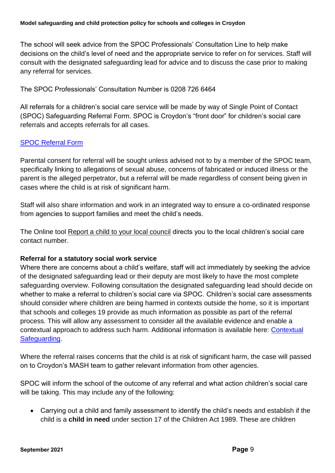The school will seek advice from the SPOC Professionals' Consultation Line to help make decisions on the child's level of need and the appropriate service to refer on for services. Staff will consult with the designated safeguarding lead for advice and to discuss the case prior to making any referral for services.

The SPOC Professionals' Consultation Number is 0208 726 6464

All referrals for a children's social care service will be made by way of Single Point of Contact (SPOC) Safeguarding Referral Form. SPOC is Croydon's "front door" for children's social care referrals and accepts referrals for all cases.

## [SPOC Referral Form](https://my.croydon.gov.uk/MashReferrals?qWname=New&qServiceRef=ChildReferral)

Parental consent for referral will be sought unless advised not to by a member of the SPOC team, specifically linking to allegations of sexual abuse, concerns of fabricated or induced illness or the parent is the alleged perpetrator, but a referral will be made regardless of consent being given in cases where the child is at risk of significant harm.

Staff will also share information and work in an integrated way to ensure a co-ordinated response from agencies to support families and meet the child's needs.

The Online tool [Report a child to your local council](https://www.gov.uk/report-child-abuse-to-local-council) directs you to the local children's social care contact number.

## **Referral for a statutory social work service**

Where there are concerns about a child's welfare, staff will act immediately by seeking the advice of the designated safeguarding lead or their deputy are most likely to have the most complete safeguarding overview. Following consultation the designated safeguarding lead should decide on whether to make a referral to children's social care via SPOC. Children's social care assessments should consider where children are being harmed in contexts outside the home, so it is important that schools and colleges 19 provide as much information as possible as part of the referral process. This will allow any assessment to consider all the available evidence and enable a contextual approach to address such harm. Additional information is available here: [Contextual](https://contextualsafeguarding.org.uk/)  [Safeguarding.](https://contextualsafeguarding.org.uk/)

Where the referral raises concerns that the child is at risk of significant harm, the case will passed on to Croydon's MASH team to gather relevant information from other agencies.

SPOC will inform the school of the outcome of any referral and what action children's social care will be taking. This may include any of the following:

• Carrying out a child and family assessment to identify the child's needs and establish if the child is a **child in need** under section 17 of the Children Act 1989. These are children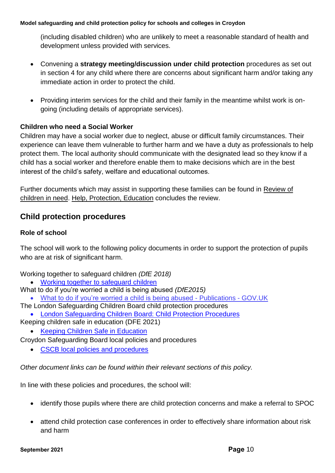(including disabled children) who are unlikely to meet a reasonable standard of health and development unless provided with services.

- Convening a **strategy meeting/discussion under child protection** procedures as set out in section 4 for any child where there are concerns about significant harm and/or taking any immediate action in order to protect the child.
- Providing interim services for the child and their family in the meantime whilst work is ongoing (including details of appropriate services).

## **Children who need a Social Worker**

Children may have a social worker due to neglect, abuse or difficult family circumstances. Their experience can leave them vulnerable to further harm and we have a duty as professionals to help protect them. The local authority should communicate with the designated lead so they know if a child has a social worker and therefore enable them to make decisions which are in the best interest of the child's safety, welfare and educational outcomes.

Further documents which may assist in supporting these families can be found in [Review of](https://www.gov.uk/government/publications/review-of-children-in-need/review-of-children-in-need)  [children in need.](https://www.gov.uk/government/publications/review-of-children-in-need/review-of-children-in-need) [Help, Protection, Education](https://assets.publishing.service.gov.uk/government/uploads/system/uploads/attachment_data/file/809236/190614_CHILDREN_IN_NEED_PUBLICATION_FINAL.pdf) concludes the review.

## **Child protection procedures**

### **Role of school**

The school will work to the following policy documents in order to support the protection of pupils who are at risk of significant harm.

Working together to safeguard children *(DfE 2018)*

- [Working together to safeguard children](https://assets.publishing.service.gov.uk/government/uploads/system/uploads/attachment_data/file/729914/Working_Together_to_Safeguard_Children-2018.pdf)
- What to do if you're worried a child is being abused *(DfE2015)*
	- [What to do if you're worried a child is being abused -](https://www.gov.uk/government/publications/what-to-do-if-youre-worried-a-child-is-being-abused--2) Publications GOV.UK
- The London Safeguarding Children Board child protection procedures • [London Safeguarding Children Board: Child Protection Procedures](http://www.londoncp.co.uk/)
- Keeping children safe in education (DFE 2021)
	- [Keeping Children Safe in Education](https://www.gov.uk/government/publications/keeping-children-safe-in-education--2)

Croydon Safeguarding Board local policies and procedures

• [CSCB local policies and procedures](http://croydonlcsb.org.uk/professionals/policies/)

*Other document links can be found within their relevant sections of this policy.*

In line with these policies and procedures, the school will:

- identify those pupils where there are child protection concerns and make a referral to SPOC
- attend child protection case conferences in order to effectively share information about risk and harm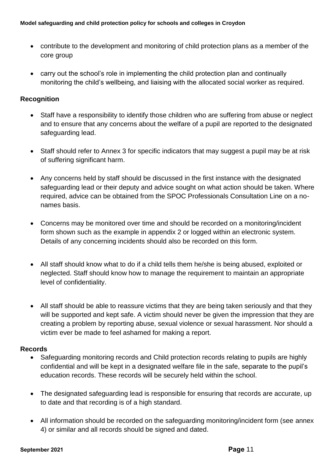- contribute to the development and monitoring of child protection plans as a member of the core group
- carry out the school's role in implementing the child protection plan and continually monitoring the child's wellbeing, and liaising with the allocated social worker as required.

### **Recognition**

- Staff have a responsibility to identify those children who are suffering from abuse or neglect and to ensure that any concerns about the welfare of a pupil are reported to the designated safeguarding lead.
- Staff should refer to Annex 3 for specific indicators that may suggest a pupil may be at risk of suffering significant harm.
- Any concerns held by staff should be discussed in the first instance with the designated safeguarding lead or their deputy and advice sought on what action should be taken. Where required, advice can be obtained from the SPOC Professionals Consultation Line on a nonames basis.
- Concerns may be monitored over time and should be recorded on a monitoring/incident form shown such as the example in appendix 2 or logged within an electronic system. Details of any concerning incidents should also be recorded on this form.
- All staff should know what to do if a child tells them he/she is being abused, exploited or neglected. Staff should know how to manage the requirement to maintain an appropriate level of confidentiality.
- All staff should be able to reassure victims that they are being taken seriously and that they will be supported and kept safe. A victim should never be given the impression that they are creating a problem by reporting abuse, sexual violence or sexual harassment. Nor should a victim ever be made to feel ashamed for making a report.

### **Records**

- Safeguarding monitoring records and Child protection records relating to pupils are highly confidential and will be kept in a designated welfare file in the safe, separate to the pupil's education records. These records will be securely held within the school.
- The designated safeguarding lead is responsible for ensuring that records are accurate, up to date and that recording is of a high standard.
- All information should be recorded on the safeguarding monitoring/incident form (see annex 4) or similar and all records should be signed and dated.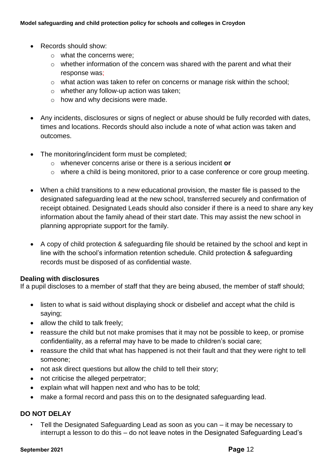- Records should show:
	- o what the concerns were;
	- o whether information of the concern was shared with the parent and what their response was;
	- o what action was taken to refer on concerns or manage risk within the school;
	- o whether any follow-up action was taken;
	- o how and why decisions were made.
- Any incidents, disclosures or signs of neglect or abuse should be fully recorded with dates, times and locations. Records should also include a note of what action was taken and outcomes.
- The monitoring/incident form must be completed;
	- o whenever concerns arise or there is a serious incident **or**
	- o where a child is being monitored, prior to a case conference or core group meeting.
- When a child transitions to a new educational provision, the master file is passed to the designated safeguarding lead at the new school, transferred securely and confirmation of receipt obtained. Designated Leads should also consider if there is a need to share any key information about the family ahead of their start date. This may assist the new school in planning appropriate support for the family.
- A copy of child protection & safeguarding file should be retained by the school and kept in line with the school's information retention schedule. Child protection & safeguarding records must be disposed of as confidential waste.

#### **Dealing with disclosures**

If a pupil discloses to a member of staff that they are being abused, the member of staff should;

- listen to what is said without displaying shock or disbelief and accept what the child is saying;
- allow the child to talk freely:
- reassure the child but not make promises that it may not be possible to keep, or promise confidentiality, as a referral may have to be made to children's social care;
- reassure the child that what has happened is not their fault and that they were right to tell someone;
- not ask direct questions but allow the child to tell their story;
- not criticise the alleged perpetrator;
- explain what will happen next and who has to be told;
- make a formal record and pass this on to the designated safeguarding lead.

### **DO NOT DELAY**

• Tell the Designated Safeguarding Lead as soon as you can – it may be necessary to interrupt a lesson to do this – do not leave notes in the Designated Safeguarding Lead's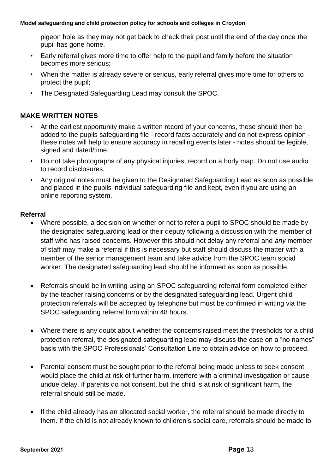pigeon hole as they may not get back to check their post until the end of the day once the pupil has gone home.

- Early referral gives more time to offer help to the pupil and family before the situation becomes more serious;
- When the matter is already severe or serious, early referral gives more time for others to protect the pupil;
- The Designated Safeguarding Lead may consult the SPOC.

### **MAKE WRITTEN NOTES**

- At the earliest opportunity make a written record of your concerns, these should then be added to the pupils safeguarding file - record facts accurately and do not express opinion these notes will help to ensure accuracy in recalling events later - notes should be legible, signed and dated/time.
- Do not take photographs of any physical injuries, record on a body map. Do not use audio to record disclosures.
- Any original notes must be given to the Designated Safeguarding Lead as soon as possible and placed in the pupils individual safeguarding file and kept, even if you are using an online reporting system.

### **Referral**

- Where possible, a decision on whether or not to refer a pupil to SPOC should be made by the designated safeguarding lead or their deputy following a discussion with the member of staff who has raised concerns. However this should not delay any referral and *any* member of staff may make a referral if this is necessary but staff should discuss the matter with a member of the senior management team and take advice from the SPOC team social worker. The designated safeguarding lead should be informed as soon as possible.
- Referrals should be in writing using an SPOC safeguarding referral form completed either by the teacher raising concerns or by the designated safeguarding lead. Urgent child protection referrals will be accepted by telephone but must be confirmed in writing via the SPOC safeguarding referral form within 48 hours.
- Where there is any doubt about whether the concerns raised meet the thresholds for a child protection referral, the designated safeguarding lead may discuss the case on a "no names" basis with the SPOC Professionals' Consultation Line to obtain advice on how to proceed.
- Parental consent must be sought prior to the referral being made unless to seek consent would place the child at risk of further harm, interfere with a criminal investigation or cause undue delay. If parents do not consent, but the child is at risk of significant harm, the referral should still be made.
- If the child already has an allocated social worker, the referral should be made directly to them. If the child is not already known to children's social care, referrals should be made to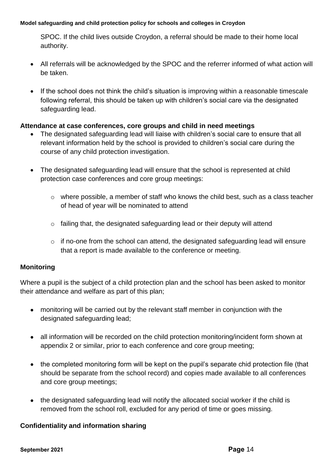SPOC. If the child lives outside Croydon, a referral should be made to their home local authority.

- All referrals will be acknowledged by the SPOC and the referrer informed of what action will be taken.
- If the school does not think the child's situation is improving within a reasonable timescale following referral, this should be taken up with children's social care via the designated safeguarding lead.

## **Attendance at case conferences, core groups and child in need meetings**

- The designated safeguarding lead will liaise with children's social care to ensure that all relevant information held by the school is provided to children's social care during the course of any child protection investigation.
- The designated safeguarding lead will ensure that the school is represented at child protection case conferences and core group meetings:
	- $\circ$  where possible, a member of staff who knows the child best, such as a class teacher of head of year will be nominated to attend
	- o failing that, the designated safeguarding lead or their deputy will attend
	- o if no-one from the school can attend, the designated safeguarding lead will ensure that a report is made available to the conference or meeting.

### **Monitoring**

Where a pupil is the subject of a child protection plan and the school has been asked to monitor their attendance and welfare as part of this plan;

- monitoring will be carried out by the relevant staff member in conjunction with the designated safeguarding lead;
- all information will be recorded on the child protection monitoring/incident form shown at appendix 2 or similar, prior to each conference and core group meeting;
- the completed monitoring form will be kept on the pupil's separate chid protection file (that should be separate from the school record) and copies made available to all conferences and core group meetings;
- the designated safeguarding lead will notify the allocated social worker if the child is removed from the school roll, excluded for any period of time or goes missing.

## **Confidentiality and information sharing**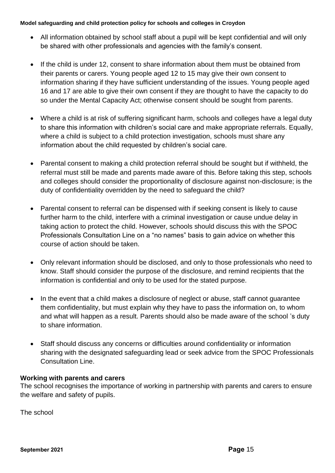- All information obtained by school staff about a pupil will be kept confidential and will only be shared with other professionals and agencies with the family's consent.
- If the child is under 12, consent to share information about them must be obtained from their parents or carers. Young people aged 12 to 15 may give their own consent to information sharing if they have sufficient understanding of the issues. Young people aged 16 and 17 are able to give their own consent if they are thought to have the capacity to do so under the Mental Capacity Act; otherwise consent should be sought from parents.
- Where a child is at risk of suffering significant harm, schools and colleges have a legal duty to share this information with children's social care and make appropriate referrals. Equally, where a child is subject to a child protection investigation, schools must share any information about the child requested by children's social care.
- Parental consent to making a child protection referral should be sought but if withheld, the referral must still be made and parents made aware of this. Before taking this step, schools and colleges should consider the proportionality of disclosure against non-disclosure; is the duty of confidentiality overridden by the need to safeguard the child?
- Parental consent to referral can be dispensed with if seeking consent is likely to cause further harm to the child, interfere with a criminal investigation or cause undue delay in taking action to protect the child. However, schools should discuss this with the SPOC Professionals Consultation Line on a "no names" basis to gain advice on whether this course of action should be taken.
- Only relevant information should be disclosed, and only to those professionals who need to know. Staff should consider the purpose of the disclosure, and remind recipients that the information is confidential and only to be used for the stated purpose.
- In the event that a child makes a disclosure of neglect or abuse, staff cannot quarantee them confidentiality, but must explain why they have to pass the information on, to whom and what will happen as a result. Parents should also be made aware of the school 's duty to share information.
- Staff should discuss any concerns or difficulties around confidentiality or information sharing with the designated safeguarding lead or seek advice from the SPOC Professionals Consultation Line.

## **Working with parents and carers**

The school recognises the importance of working in partnership with parents and carers to ensure the welfare and safety of pupils.

The school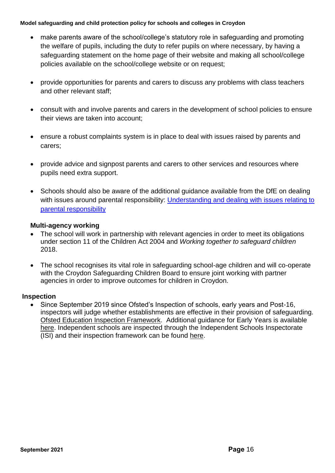- make parents aware of the school/college's statutory role in safeguarding and promoting the welfare of pupils, including the duty to refer pupils on where necessary, by having a safeguarding statement on the home page of their website and making all school/college policies available on the school/college website or on request;
- provide opportunities for parents and carers to discuss any problems with class teachers and other relevant staff;
- consult with and involve parents and carers in the development of school policies to ensure their views are taken into account;
- ensure a robust complaints system is in place to deal with issues raised by parents and carers;
- provide advice and signpost parents and carers to other services and resources where pupils need extra support.
- Schools should also be aware of the additional guidance available from the DfE on dealing with issues around parental responsibility: Understanding and dealing with issues relating to [parental responsibility](https://www.gov.uk/government/publications/dealing-with-issues-relating-to-parental-responsibility/understanding-and-dealing-with-issues-relating-to-parental-responsibility)

### **Multi-agency working**

- The school will work in partnership with relevant agencies in order to meet its obligations under section 11 of the Children Act 2004 and *Working together to safeguard children*  2018.
- The school recognises its vital role in safeguarding school-age children and will co-operate with the Croydon Safeguarding Children Board to ensure joint working with partner agencies in order to improve outcomes for children in Croydon.

### **Inspection**

• Since September 2019 since Ofsted's Inspection of schools, early years and Post-16, inspectors will judge whether establishments are effective in their provision of safeguarding. [Ofsted Education Inspection Framework.](https://www.gov.uk/government/publications/education-inspection-framework) Additional guidance for Early Years is available [here.](https://www.gov.uk/government/publications/inspecting-safeguarding-in-early-years-education-and-skills) Independent schools are inspected through the Independent Schools Inspectorate (ISI) and their inspection framework can be found [here.](https://www.isi.net/)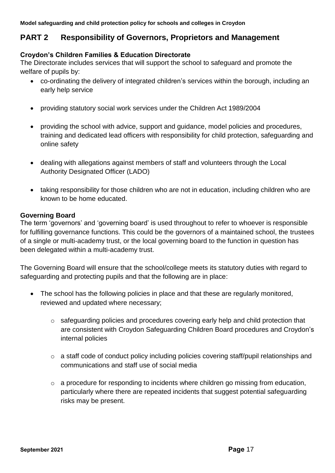## **PART 2 Responsibility of Governors, Proprietors and Management**

### **Croydon's Children Families & Education Directorate**

The Directorate includes services that will support the school to safeguard and promote the welfare of pupils by:

- co-ordinating the delivery of integrated children's services within the borough, including an early help service
- providing statutory social work services under the Children Act 1989/2004
- providing the school with advice, support and guidance, model policies and procedures, training and dedicated lead officers with responsibility for child protection, safeguarding and online safety
- dealing with allegations against members of staff and volunteers through the Local Authority Designated Officer (LADO)
- taking responsibility for those children who are not in education, including children who are known to be home educated.

#### **Governing Board**

The term 'governors' and 'governing board' is used throughout to refer to whoever is responsible for fulfilling governance functions. This could be the governors of a maintained school, the trustees of a single or multi-academy trust, or the local governing board to the function in question has been delegated within a multi-academy trust.

The Governing Board will ensure that the school/college meets its statutory duties with regard to safeguarding and protecting pupils and that the following are in place:

- The school has the following policies in place and that these are regularly monitored, reviewed and updated where necessary;
	- o safeguarding policies and procedures covering early help and child protection that are consistent with Croydon Safeguarding Children Board procedures and Croydon's internal policies
	- o a staff code of conduct policy including policies covering staff/pupil relationships and communications and staff use of social media
	- o a procedure for responding to incidents where children go missing from education, particularly where there are repeated incidents that suggest potential safeguarding risks may be present.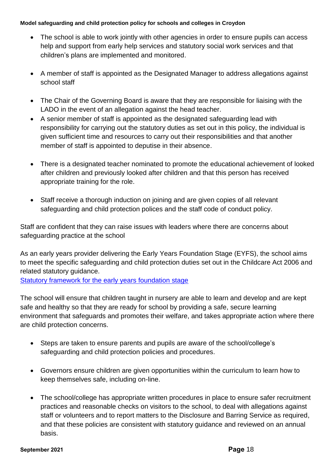- The school is able to work jointly with other agencies in order to ensure pupils can access help and support from early help services and statutory social work services and that children's plans are implemented and monitored.
- A member of staff is appointed as the Designated Manager to address allegations against school staff
- The Chair of the Governing Board is aware that they are responsible for liaising with the LADO in the event of an allegation against the head teacher.
- A senior member of staff is appointed as the designated safeguarding lead with responsibility for carrying out the statutory duties as set out in this policy, the individual is given sufficient time and resources to carry out their responsibilities and that another member of staff is appointed to deputise in their absence.
- There is a designated teacher nominated to promote the educational achievement of looked after children and previously looked after children and that this person has received appropriate training for the role.
- Staff receive a thorough induction on joining and are given copies of all relevant safeguarding and child protection polices and the staff code of conduct policy.

Staff are confident that they can raise issues with leaders where there are concerns about safeguarding practice at the school

As an early years provider delivering the Early Years Foundation Stage (EYFS), the school aims to meet the specific safeguarding and child protection duties set out in the Childcare Act 2006 and related statutory guidance.

[Statutory framework for the early years foundation stage](https://assets.publishing.service.gov.uk/government/uploads/system/uploads/attachment_data/file/596629/EYFS_STATUTORY_FRAMEWORK_2017.pdf)

The school will ensure that children taught in nursery are able to learn and develop and are kept safe and healthy so that they are ready for school by providing a safe, secure learning environment that safeguards and promotes their welfare, and takes appropriate action where there are child protection concerns.

- Steps are taken to ensure parents and pupils are aware of the school/college's safeguarding and child protection policies and procedures.
- Governors ensure children are given opportunities within the curriculum to learn how to keep themselves safe, including on-line.
- The school/college has appropriate written procedures in place to ensure safer recruitment practices and reasonable checks on visitors to the school, to deal with allegations against staff or volunteers and to report matters to the Disclosure and Barring Service as required, and that these policies are consistent with statutory guidance and reviewed on an annual basis.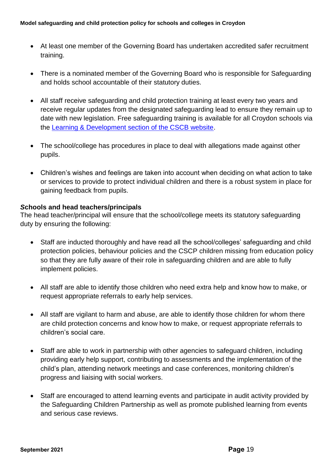- At least one member of the Governing Board has undertaken accredited safer recruitment training.
- There is a nominated member of the Governing Board who is responsible for Safeguarding and holds school accountable of their statutory duties.
- All staff receive safeguarding and child protection training at least every two years and receive regular updates from the designated safeguarding lead to ensure they remain up to date with new legislation. Free safeguarding training is available for all Croydon schools via the [Learning & Development section of the CSCB website.](http://croydonlcsb.org.uk/professionals/learning-development/)
- The school/college has procedures in place to deal with allegations made against other pupils.
- Children's wishes and feelings are taken into account when deciding on what action to take or services to provide to protect individual children and there is a robust system in place for gaining feedback from pupils.

### *S***chools and head teachers/principals**

The head teacher/principal will ensure that the school/college meets its statutory safeguarding duty by ensuring the following:

- Staff are inducted thoroughly and have read all the school/colleges' safeguarding and child protection policies, behaviour policies and the CSCP children missing from education policy so that they are fully aware of their role in safeguarding children and are able to fully implement policies.
- All staff are able to identify those children who need extra help and know how to make, or request appropriate referrals to early help services.
- All staff are vigilant to harm and abuse, are able to identify those children for whom there are child protection concerns and know how to make, or request appropriate referrals to children's social care.
- Staff are able to work in partnership with other agencies to safeguard children, including providing early help support, contributing to assessments and the implementation of the child's plan, attending network meetings and case conferences, monitoring children's progress and liaising with social workers.
- Staff are encouraged to attend learning events and participate in audit activity provided by the Safeguarding Children Partnership as well as promote published learning from events and serious case reviews.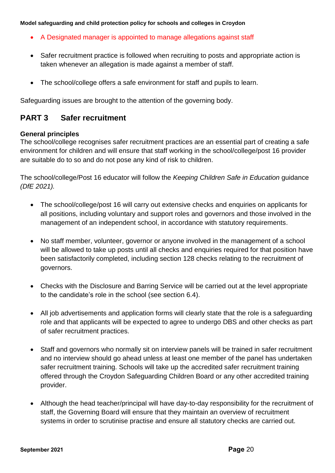- A Designated manager is appointed to manage allegations against staff
- Safer recruitment practice is followed when recruiting to posts and appropriate action is taken whenever an allegation is made against a member of staff.
- The school/college offers a safe environment for staff and pupils to learn.

Safeguarding issues are brought to the attention of the governing body.

## **PART 3 Safer recruitment**

#### **General principles**

The school/college recognises safer recruitment practices are an essential part of creating a safe environment for children and will ensure that staff working in the school/college/post 16 provider are suitable do to so and do not pose any kind of risk to children.

The school/college/Post 16 educator will follow the *Keeping Children Safe in Education* guidance *(DfE 2021).*

- The school/college/post 16 will carry out extensive checks and enquiries on applicants for all positions, including voluntary and support roles and governors and those involved in the management of an independent school, in accordance with statutory requirements.
- No staff member, volunteer, governor or anyone involved in the management of a school will be allowed to take up posts until all checks and enquiries required for that position have been satisfactorily completed, including section 128 checks relating to the recruitment of governors.
- Checks with the Disclosure and Barring Service will be carried out at the level appropriate to the candidate's role in the school (see section 6.4).
- All job advertisements and application forms will clearly state that the role is a safeguarding role and that applicants will be expected to agree to undergo DBS and other checks as part of safer recruitment practices.
- Staff and governors who normally sit on interview panels will be trained in safer recruitment and no interview should go ahead unless at least one member of the panel has undertaken safer recruitment training. Schools will take up the accredited safer recruitment training offered through the Croydon Safeguarding Children Board or any other accredited training provider.
- Although the head teacher/principal will have day-to-day responsibility for the recruitment of staff, the Governing Board will ensure that they maintain an overview of recruitment systems in order to scrutinise practise and ensure all statutory checks are carried out.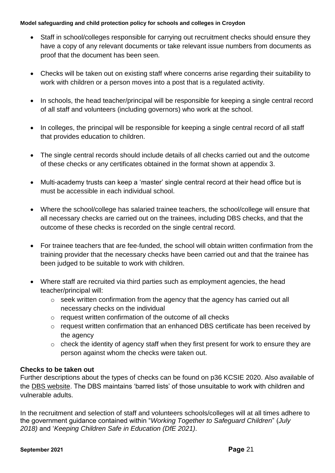- Staff in school/colleges responsible for carrying out recruitment checks should ensure they have a copy of any relevant documents or take relevant issue numbers from documents as proof that the document has been seen.
- Checks will be taken out on existing staff where concerns arise regarding their suitability to work with children or a person moves into a post that is a regulated activity.
- In schools, the head teacher/principal will be responsible for keeping a single central record of all staff and volunteers (including governors) who work at the school.
- In colleges, the principal will be responsible for keeping a single central record of all staff that provides education to children.
- The single central records should include details of all checks carried out and the outcome of these checks or any certificates obtained in the format shown at appendix 3.
- Multi-academy trusts can keep a 'master' single central record at their head office but is must be accessible in each individual school.
- Where the school/college has salaried trainee teachers, the school/college will ensure that all necessary checks are carried out on the trainees, including DBS checks, and that the outcome of these checks is recorded on the single central record.
- For trainee teachers that are fee-funded, the school will obtain written confirmation from the training provider that the necessary checks have been carried out and that the trainee has been judged to be suitable to work with children.
- Where staff are recruited via third parties such as employment agencies, the head teacher/principal will:
	- o seek written confirmation from the agency that the agency has carried out all necessary checks on the individual
	- o request written confirmation of the outcome of all checks
	- $\circ$  request written confirmation that an enhanced DBS certificate has been received by the agency
	- o check the identity of agency staff when they first present for work to ensure they are person against whom the checks were taken out.

## **Checks to be taken out**

Further descriptions about the types of checks can be found on p36 KCSIE 2020. Also available of the [DBS website.](https://www.gov.uk/government/organisations/disclosure-and-barring-service) The DBS maintains 'barred lists' of those unsuitable to work with children and vulnerable adults.

In the recruitment and selection of staff and volunteers schools/colleges will at all times adhere to the government guidance contained within "*Working Together to Safeguard Children*" (*July 2018)* and '*Keeping Children Safe in Education (DfE 2021)*.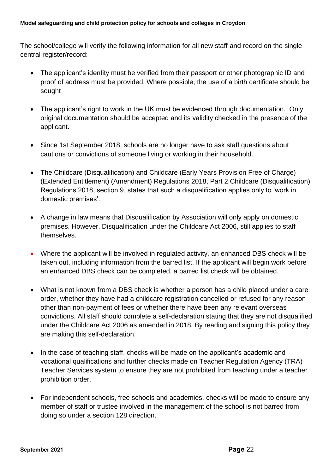The school/college will verify the following information for all new staff and record on the single central register/record:

- The applicant's identity must be verified from their passport or other photographic ID and proof of address must be provided. Where possible, the use of a birth certificate should be sought
- The applicant's right to work in the UK must be evidenced through documentation. Only original documentation should be accepted and its validity checked in the presence of the applicant.
- Since 1st September 2018, schools are no longer have to ask staff questions about cautions or convictions of someone living or working in their household.
- The Childcare (Disqualification) and Childcare (Early Years Provision Free of Charge) (Extended Entitlement) (Amendment) Regulations 2018, Part 2 Childcare (Disqualification) Regulations 2018, section 9, states that such a disqualification applies only to 'work in domestic premises'.
- A change in law means that Disqualification by Association will only apply on domestic premises. However, Disqualification under the Childcare Act 2006, still applies to staff themselves.
- Where the applicant will be involved in regulated activity, an enhanced DBS check will be taken out, including information from the barred list. If the applicant will begin work before an enhanced DBS check can be completed, a barred list check will be obtained.
- What is not known from a DBS check is whether a person has a child placed under a care order, whether they have had a childcare registration cancelled or refused for any reason other than non-payment of fees or whether there have been any relevant overseas convictions. All staff should complete a self-declaration stating that they are not disqualified under the Childcare Act 2006 as amended in 2018. By reading and signing this policy they are making this self-declaration.
- In the case of teaching staff, checks will be made on the applicant's academic and vocational qualifications and further checks made on Teacher Regulation Agency (TRA) Teacher Services system to ensure they are not prohibited from teaching under a teacher prohibition order.
- For independent schools, free schools and academies, checks will be made to ensure any member of staff or trustee involved in the management of the school is not barred from doing so under a section 128 direction.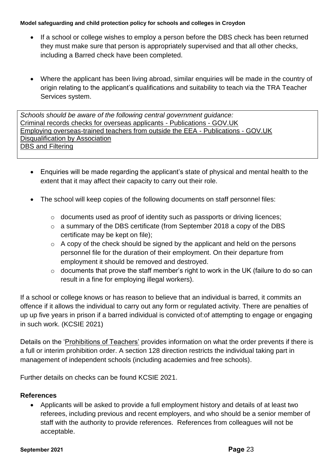- If a school or college wishes to employ a person before the DBS check has been returned they must make sure that person is appropriately supervised and that all other checks, including a Barred check have been completed.
- Where the applicant has been living abroad, similar enquiries will be made in the country of origin relating to the applicant's qualifications and suitability to teach via the TRA Teacher Services system.

*Schools should be aware of the following central government guidance:* [Criminal records checks for overseas applicants -](https://www.gov.uk/government/publications/criminal-records-checks-for-overseas-applicants) Publications - GOV.UK [Employing overseas-trained teachers from outside the EEA -](https://www.gov.uk/government/publications/employing-overseas-trained-teachers-from-outside-the-eea) Publications - GOV.UK [Disqualification by Association](https://www.gov.uk/government/publications/disqualification-under-the-childcare-act-2006/disqualification-under-the-childcare-act-2006) [DBS and Filtering](https://www.gov.uk/government/publications/dbs-filtering-guidance)

- Enquiries will be made regarding the applicant's state of physical and mental health to the extent that it may affect their capacity to carry out their role.
- The school will keep copies of the following documents on staff personnel files:
	- o documents used as proof of identity such as passports or driving licences;
	- o a summary of the DBS certificate (from September 2018 a copy of the DBS certificate may be kept on file);
	- $\circ$  A copy of the check should be signed by the applicant and held on the persons personnel file for the duration of their employment. On their departure from employment it should be removed and destroyed.
	- $\circ$  documents that prove the staff member's right to work in the UK (failure to do so can result in a fine for employing illegal workers).

If a school or college knows or has reason to believe that an individual is barred, it commits an offence if it allows the individual to carry out any form or regulated activity. There are penalties of up up five years in prison if a barred individual is convicted of:of attempting to engage or engaging in such work. (KCSIE 2021)

Details on the ['Prohibitions of Teachers'](https://www.gov.uk/government/publications/teacher-misconduct-the-prohibition-of-teachers--3) provides information on what the order prevents if there is a full or interim prohibition order. A section 128 direction restricts the individual taking part in management of independent schools (including academies and free schools).

Further details on checks can be found KCSIE 2021.

## **References**

• Applicants will be asked to provide a full employment history and details of at least two referees, including previous and recent employers, and who should be a senior member of staff with the authority to provide references. References from colleagues will not be acceptable.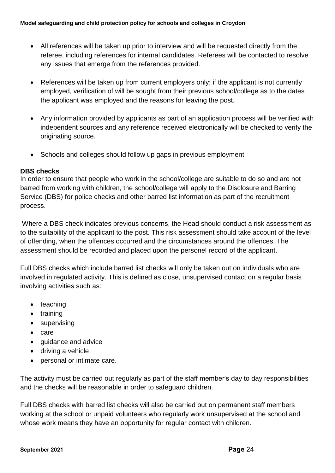- All references will be taken up prior to interview and will be requested directly from the referee, including references for internal candidates. Referees will be contacted to resolve any issues that emerge from the references provided.
- References will be taken up from current employers only; if the applicant is not currently employed, verification of will be sought from their previous school/college as to the dates the applicant was employed and the reasons for leaving the post.
- Any information provided by applicants as part of an application process will be verified with independent sources and any reference received electronically will be checked to verify the originating source.
- Schools and colleges should follow up gaps in previous employment

### **DBS checks**

In order to ensure that people who work in the school/college are suitable to do so and are not barred from working with children, the school/college will apply to the Disclosure and Barring Service (DBS) for police checks and other barred list information as part of the recruitment process.

Where a DBS check indicates previous concerns, the Head should conduct a risk assessment as to the suitability of the applicant to the post. This risk assessment should take account of the level of offending, when the offences occurred and the circumstances around the offences. The assessment should be recorded and placed upon the personel record of the applicant.

Full DBS checks which include barred list checks will only be taken out on individuals who are involved in regulated activity. This is defined as close, unsupervised contact on a regular basis involving activities such as:

- teaching
- training
- supervising
- care
- guidance and advice
- driving a vehicle
- personal or intimate care.

The activity must be carried out regularly as part of the staff member's day to day responsibilities and the checks will be reasonable in order to safeguard children.

Full DBS checks with barred list checks will also be carried out on permanent staff members working at the school or unpaid volunteers who regularly work unsupervised at the school and whose work means they have an opportunity for regular contact with children.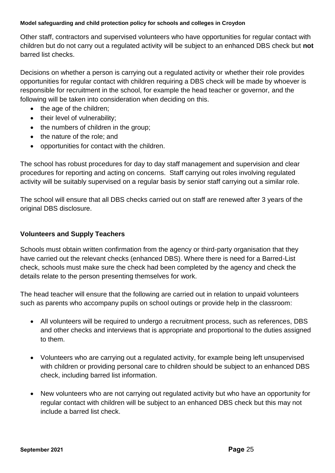Other staff, contractors and supervised volunteers who have opportunities for regular contact with children but do not carry out a regulated activity will be subject to an enhanced DBS check but **not** barred list checks.

Decisions on whether a person is carrying out a regulated activity or whether their role provides opportunities for regular contact with children requiring a DBS check will be made by whoever is responsible for recruitment in the school, for example the head teacher or governor, and the following will be taken into consideration when deciding on this.

- the age of the children;
- their level of vulnerability;
- the numbers of children in the group;
- the nature of the role; and
- opportunities for contact with the children.

The school has robust procedures for day to day staff management and supervision and clear procedures for reporting and acting on concerns. Staff carrying out roles involving regulated activity will be suitably supervised on a regular basis by senior staff carrying out a similar role.

The school will ensure that all DBS checks carried out on staff are renewed after 3 years of the original DBS disclosure.

### **Volunteers and Supply Teachers**

Schools must obtain written confirmation from the agency or third-party organisation that they have carried out the relevant checks (enhanced DBS). Where there is need for a Barred-List check, schools must make sure the check had been completed by the agency and check the details relate to the person presenting themselves for work.

The head teacher will ensure that the following are carried out in relation to unpaid volunteers such as parents who accompany pupils on school outings or provide help in the classroom:

- All volunteers will be required to undergo a recruitment process, such as references, DBS and other checks and interviews that is appropriate and proportional to the duties assigned to them.
- Volunteers who are carrying out a regulated activity, for example being left unsupervised with children or providing personal care to children should be subject to an enhanced DBS check, including barred list information.
- New volunteers who are not carrying out regulated activity but who have an opportunity for regular contact with children will be subject to an enhanced DBS check but this may not include a barred list check.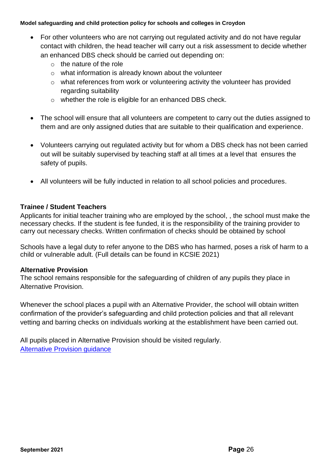- For other volunteers who are not carrying out regulated activity and do not have regular contact with children, the head teacher will carry out a risk assessment to decide whether an enhanced DBS check should be carried out depending on:
	- $\circ$  the nature of the role
	- o what information is already known about the volunteer
	- $\circ$  what references from work or volunteering activity the volunteer has provided regarding suitability
	- o whether the role is eligible for an enhanced DBS check.
- The school will ensure that all volunteers are competent to carry out the duties assigned to them and are only assigned duties that are suitable to their qualification and experience.
- Volunteers carrying out regulated activity but for whom a DBS check has not been carried out will be suitably supervised by teaching staff at all times at a level that ensures the safety of pupils.
- All volunteers will be fully inducted in relation to all school policies and procedures.

### **Trainee / Student Teachers**

Applicants for initial teacher training who are employed by the school, , the school must make the necessary checks. If the student is fee funded, it is the responsibility of the training provider to carry out necessary checks. Written confirmation of checks should be obtained by school

Schools have a legal duty to refer anyone to the DBS who has harmed, poses a risk of harm to a child or vulnerable adult. (Full details can be found in KCSIE 2021)

### **Alternative Provision**

The school remains responsible for the safeguarding of children of any pupils they place in Alternative Provision.

Whenever the school places a pupil with an Alternative Provider, the school will obtain written confirmation of the provider's safeguarding and child protection policies and that all relevant vetting and barring checks on individuals working at the establishment have been carried out.

All pupils placed in Alternative Provision should be visited regularly. [Alternative Provision guidance](https://assets.publishing.service.gov.uk/government/uploads/system/uploads/attachment_data/file/268940/alternative_provision_statutory_guidance_pdf_version.pdf)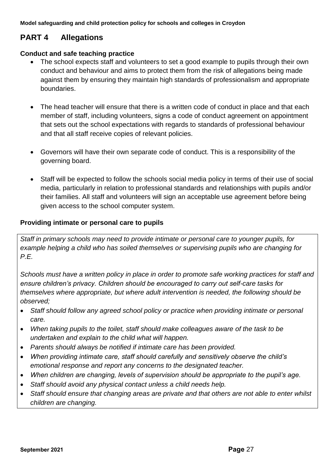# **PART 4 Allegations**

### **Conduct and safe teaching practice**

- The school expects staff and volunteers to set a good example to pupils through their own conduct and behaviour and aims to protect them from the risk of allegations being made against them by ensuring they maintain high standards of professionalism and appropriate boundaries.
- The head teacher will ensure that there is a written code of conduct in place and that each member of staff, including volunteers, signs a code of conduct agreement on appointment that sets out the school expectations with regards to standards of professional behaviour and that all staff receive copies of relevant policies.
- Governors will have their own separate code of conduct. This is a responsibility of the governing board.
- Staff will be expected to follow the schools social media policy in terms of their use of social media, particularly in relation to professional standards and relationships with pupils and/or their families. All staff and volunteers will sign an acceptable use agreement before being given access to the school computer system.

### **Providing intimate or personal care to pupils**

*Staff in primary schools may need to provide intimate or personal care to younger pupils, for example helping a child who has soiled themselves or supervising pupils who are changing for P.E.*

*Schools must have a written policy in place in order to promote safe working practices for staff and ensure children's privacy. Children should be encouraged to carry out self-care tasks for themselves where appropriate, but where adult intervention is needed, the following should be observed;*

- *Staff should follow any agreed school policy or practice when providing intimate or personal care.*
- *When taking pupils to the toilet, staff should make colleagues aware of the task to be undertaken and explain to the child what will happen.*
- *Parents should always be notified if intimate care has been provided.*
- *When providing intimate care, staff should carefully and sensitively observe the child's emotional response and report any concerns to the designated teacher.*
- *When children are changing, levels of supervision should be appropriate to the pupil's age.*
- *Staff should avoid any physical contact unless a child needs help.*
- *Staff should ensure that changing areas are private and that others are not able to enter whilst children are changing.*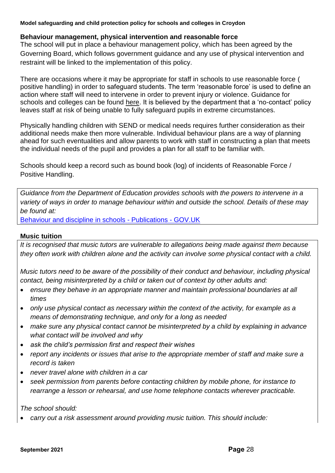### **Behaviour management, physical intervention and reasonable force**

The school will put in place a behaviour management policy, which has been agreed by the Governing Board, which follows government guidance and any use of physical intervention and restraint will be linked to the implementation of this policy.

There are occasions where it may be appropriate for staff in schools to use reasonable force ( positive handling) in order to safeguard students. The term 'reasonable force' is used to define an action where staff will need to intervene in order to prevent injury or violence. Guidance for schools and colleges can be found [here.](https://www.gov.uk/government/publications/use-of-reasonable-force-in-schools) It is believed by the department that a 'no-contact' policy leaves staff at risk of being unable to fully safeguard pupils in extreme circumstances.

Physically handling children with SEND or medical needs requires further consideration as their additional needs make then more vulnerable. Individual behaviour plans are a way of planning ahead for such eventualities and allow parents to work with staff in constructing a plan that meets the individual needs of the pupil and provides a plan for all staff to be familiar with.

Schools should keep a record such as bound book (log) of incidents of Reasonable Force / Positive Handling.

*Guidance from the Department of Education provides schools with the powers to intervene in a variety of ways in order to manage behaviour within and outside the school. Details of these may be found at:*

[Behaviour and discipline in schools -](https://www.gov.uk/government/publications/behaviour-and-discipline-in-schools) Publications - GOV.UK

### **Music tuition**

*It is recognised that music tutors are vulnerable to allegations being made against them because they often work with children alone and the activity can involve some physical contact with a child.* 

*Music tutors need to be aware of the possibility of their conduct and behaviour, including physical contact, being misinterpreted by a child or taken out of context by other adults and:* 

- *ensure they behave in an appropriate manner and maintain professional boundaries at all times*
- *only use physical contact as necessary within the context of the activity, for example as a means of demonstrating technique, and only for a long as needed*
- *make sure any physical contact cannot be misinterpreted by a child by explaining in advance what contact will be involved and why*
- *ask the child's permission first and respect their wishes*
- *report any incidents or issues that arise to the appropriate member of staff and make sure a record is taken*
- *never travel alone with children in a car*
- *seek permission from parents before contacting children by mobile phone, for instance to rearrange a lesson or rehearsal, and use home telephone contacts wherever practicable.*

*The school should:*

• *carry out a risk assessment around providing music tuition. This should include:*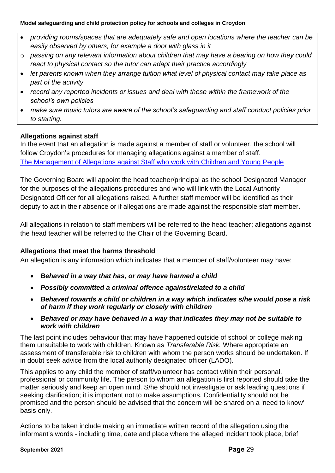- *providing rooms/spaces that are adequately safe and open locations where the teacher can be easily observed by others, for example a door with glass in it*
- o *passing on any relevant information about children that may have a bearing on how they could react to physical contact so the tutor can adapt their practice accordingly*
- *let parents known when they arrange tuition what level of physical contact may take place as part of the activity*
- *record any reported incidents or issues and deal with these within the framework of the school's own policies*
- *make sure music tutors are aware of the school's safeguarding and staff conduct policies prior to starting.*

## **Allegations against staff**

In the event that an allegation is made against a member of staff or volunteer, the school will follow Croydon's procedures for managing allegations against a member of staff. [The Management of Allegations against Staff who work with Children and Young People](http://croydonlcsb.org.uk/professionals/allegations-complaints/)

The Governing Board will appoint the head teacher/principal as the school Designated Manager for the purposes of the allegations procedures and who will link with the Local Authority Designated Officer for all allegations raised. A further staff member will be identified as their deputy to act in their absence or if allegations are made against the responsible staff member.

All allegations in relation to staff members will be referred to the head teacher; allegations against the head teacher will be referred to the Chair of the Governing Board.

## **Allegations that meet the harms threshold**

An allegation is any information which indicates that a member of staff/volunteer may have:

- *Behaved in a way that has, or may have harmed a child*
- *Possibly committed a criminal offence against/related to a child*
- *Behaved towards a child or children in a way which indicates s/he would pose a risk of harm if they work regularly or closely with children*
- *Behaved or may have behaved in a way that indicates they may not be suitable to work with children*

The last point includes behaviour that may have happened outside of school or college making them unsuitable to work with children. Known as *Transferable Risk.* Where appropriate an assessment of transferable risk to children with whom the person works should be undertaken. If in doubt seek advice from the local authority designated officer (LADO).

This applies to any child the member of staff/volunteer has contact within their personal, professional or community life. The person to whom an allegation is first reported should take the matter seriously and keep an open mind. S/he should not investigate or ask leading questions if seeking clarification; it is important not to make assumptions. Confidentiality should not be promised and the person should be advised that the concern will be shared on a 'need to know' basis only.

Actions to be taken include making an immediate written record of the allegation using the informant's words - including time, date and place where the alleged incident took place, brief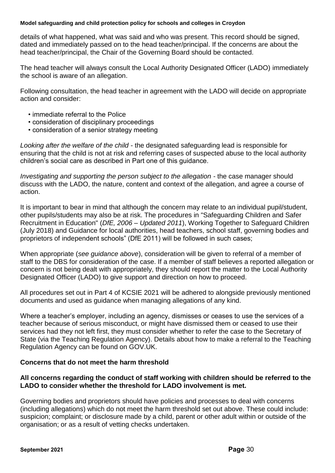details of what happened, what was said and who was present. This record should be signed, dated and immediately passed on to the head teacher/principal. If the concerns are about the head teacher/principal, the Chair of the Governing Board should be contacted.

The head teacher will always consult the Local Authority Designated Officer (LADO) immediately the school is aware of an allegation.

Following consultation, the head teacher in agreement with the LADO will decide on appropriate action and consider:

- immediate referral to the Police
- consideration of disciplinary proceedings
- consideration of a senior strategy meeting

*Looking after the welfare of the child* - the designated safeguarding lead is responsible for ensuring that the child is not at risk and referring cases of suspected abuse to the local authority children's social care as described in Part one of this guidance.

*Investigating and supporting the person subject to the allegation* - the case manager should discuss with the LADO, the nature, content and context of the allegation, and agree a course of action.

It is important to bear in mind that although the concern may relate to an individual pupil/student, other pupils/students may also be at risk. The procedures in "Safeguarding Children and Safer Recruitment in Education" (*DfE, 2006 – Updated 2011*), Working Together to Safeguard Children (July 2018) and Guidance for local authorities, head teachers, school staff, governing bodies and proprietors of independent schools" (DfE 2011) will be followed in such cases;

When appropriate (*see guidance above*), consideration will be given to referral of a member of staff to the DBS for consideration of the case. If a member of staff believes a reported allegation or concern is not being dealt with appropriately, they should report the matter to the Local Authority Designated Officer (LADO) to give support and direction on how to proceed.

All procedures set out in Part 4 of KCSIE 2021 will be adhered to alongside previously mentioned documents and used as guidance when managing allegations of any kind.

Where a teacher's employer, including an agency, dismisses or ceases to use the services of a teacher because of serious misconduct, or might have dismissed them or ceased to use their services had they not left first, they must consider whether to refer the case to the Secretary of State (via the Teaching Regulation Agency). Details about how to make a referral to the Teaching Regulation Agency can be found on GOV.UK.

### **Concerns that do not meet the harm threshold**

### **All concerns regarding the conduct of staff working with children should be referred to the LADO to consider whether the threshold for LADO involvement is met.**

Governing bodies and proprietors should have policies and processes to deal with concerns (including allegations) which do not meet the harm threshold set out above. These could include: suspicion; complaint; or disclosure made by a child, parent or other adult within or outside of the organisation; or as a result of vetting checks undertaken.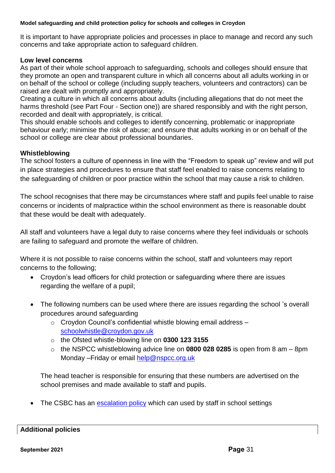It is important to have appropriate policies and processes in place to manage and record any such concerns and take appropriate action to safeguard children.

### **Low level concerns**

As part of their whole school approach to safeguarding, schools and colleges should ensure that they promote an open and transparent culture in which all concerns about all adults working in or on behalf of the school or college (including supply teachers, volunteers and contractors) can be raised are dealt with promptly and appropriately.

Creating a culture in which all concerns about adults (including allegations that do not meet the harms threshold (see Part Four - Section one)) are shared responsibly and with the right person, recorded and dealt with appropriately, is critical.

This should enable schools and colleges to identify concerning, problematic or inappropriate behaviour early; minimise the risk of abuse; and ensure that adults working in or on behalf of the school or college are clear about professional boundaries.

### **Whistleblowing**

The school fosters a culture of openness in line with the "Freedom to speak up" review and will put in place strategies and procedures to ensure that staff feel enabled to raise concerns relating to the safeguarding of children or poor practice within the school that may cause a risk to children.

The school recognises that there may be circumstances where staff and pupils feel unable to raise concerns or incidents of malpractice within the school environment as there is reasonable doubt that these would be dealt with adequately.

All staff and volunteers have a legal duty to raise concerns where they feel individuals or schools are failing to safeguard and promote the welfare of children.

Where it is not possible to raise concerns within the school, staff and volunteers may report concerns to the following;

- Croydon's lead officers for child protection or safeguarding where there are issues regarding the welfare of a pupil;
- The following numbers can be used where there are issues regarding the school 's overall procedures around safeguarding
	- $\circ$  Croydon Council's confidential whistle blowing email address  $$ [schoolwhistle@croydon.gov.uk](mailto:schoolwhistle@croydon.gov.uk)
	- o the Ofsted whistle-blowing line on **0300 123 3155**
	- o the NSPCC whistleblowing advice line on **0800 028 0285** is open from 8 am 8pm Monday –Friday or email [help@nspcc.org.uk](mailto:help@nspcc.org.uk)

The head teacher is responsible for ensuring that these numbers are advertised on the school premises and made available to staff and pupils.

The CSBC has an [escalation policy](http://croydonlcsb.org.uk/professionals/policies/#escalation-policy-) which can used by staff in school settings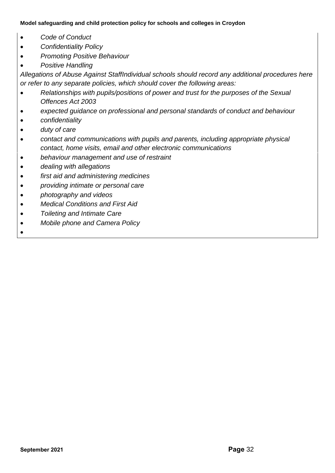- *Code of Conduct*
- *Confidentiality Policy*
- *Promoting Positive Behaviour*
- *Positive Handling*

*Allegations of Abuse Against StaffIndividual schools should record any additional procedures here or refer to any separate policies, which should cover the following areas:*

- *Relationships with pupils/positions of power and trust for the purposes of the Sexual Offences Act 2003*
- *expected guidance on professional and personal standards of conduct and behaviour*
- *confidentiality*
- *duty of care*
- *contact and communications with pupils and parents, including appropriate physical contact, home visits, email and other electronic communications*
- *behaviour management and use of restraint*
- *dealing with allegations*
- *first aid and administering medicines*
- *providing intimate or personal care*
- *photography and videos*
- *Medical Conditions and First Aid*
- *Toileting and Intimate Care*
- *Mobile phone and Camera Policy*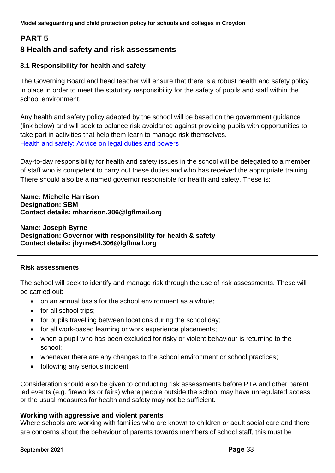## **PART 5**

## **8 Health and safety and risk assessments**

### **8.1 Responsibility for health and safety**

The Governing Board and head teacher will ensure that there is a robust health and safety policy in place in order to meet the statutory responsibility for the safety of pupils and staff within the school environment.

Any health and safety policy adapted by the school will be based on the government guidance (link below) and will seek to balance risk avoidance against providing pupils with opportunities to take part in activities that help them learn to manage risk themselves. [Health and safety: Advice on legal duties and powers](https://assets.publishing.service.gov.uk/government/uploads/system/uploads/attachment_data/file/279429/DfE_Health_and_Safety_Advice_06_02_14.pdf)

Day-to-day responsibility for health and safety issues in the school will be delegated to a member of staff who is competent to carry out these duties and who has received the appropriate training. There should also be a named governor responsible for health and safety. These is:

#### **Name: Michelle Harrison Designation: SBM Contact details: mharrison.306@lgflmail.org**

**Name: Joseph Byrne Designation: Governor with responsibility for health & safety Contact details: jbyrne54.306@lgflmail.org**

### **Risk assessments**

The school will seek to identify and manage risk through the use of risk assessments. These will be carried out:

- on an annual basis for the school environment as a whole;
- for all school trips:
- for pupils travelling between locations during the school day;
- for all work-based learning or work experience placements;
- when a pupil who has been excluded for risky or violent behaviour is returning to the school;
- whenever there are any changes to the school environment or school practices;
- following any serious incident.

Consideration should also be given to conducting risk assessments before PTA and other parent led events (e.g. fireworks or fairs) where people outside the school may have unregulated access or the usual measures for health and safety may not be sufficient.

### **Working with aggressive and violent parents**

Where schools are working with families who are known to children or adult social care and there are concerns about the behaviour of parents towards members of school staff, this must be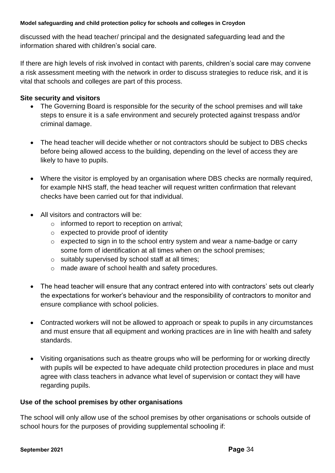discussed with the head teacher/ principal and the designated safeguarding lead and the information shared with children's social care.

If there are high levels of risk involved in contact with parents, children's social care may convene a risk assessment meeting with the network in order to discuss strategies to reduce risk, and it is vital that schools and colleges are part of this process.

## **Site security and visitors**

- The Governing Board is responsible for the security of the school premises and will take steps to ensure it is a safe environment and securely protected against trespass and/or criminal damage.
- The head teacher will decide whether or not contractors should be subject to DBS checks before being allowed access to the building, depending on the level of access they are likely to have to pupils.
- Where the visitor is employed by an organisation where DBS checks are normally required, for example NHS staff, the head teacher will request written confirmation that relevant checks have been carried out for that individual.
- All visitors and contractors will be:
	- o informed to report to reception on arrival;
	- o expected to provide proof of identity
	- o expected to sign in to the school entry system and wear a name-badge or carry some form of identification at all times when on the school premises;
	- o suitably supervised by school staff at all times;
	- o made aware of school health and safety procedures.
- The head teacher will ensure that any contract entered into with contractors' sets out clearly the expectations for worker's behaviour and the responsibility of contractors to monitor and ensure compliance with school policies.
- Contracted workers will not be allowed to approach or speak to pupils in any circumstances and must ensure that all equipment and working practices are in line with health and safety standards.
- Visiting organisations such as theatre groups who will be performing for or working directly with pupils will be expected to have adequate child protection procedures in place and must agree with class teachers in advance what level of supervision or contact they will have regarding pupils.

## **Use of the school premises by other organisations**

The school will only allow use of the school premises by other organisations or schools outside of school hours for the purposes of providing supplemental schooling if: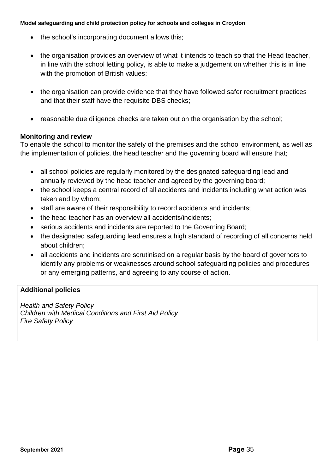- the school's incorporating document allows this;
- the organisation provides an overview of what it intends to teach so that the Head teacher, in line with the school letting policy, is able to make a judgement on whether this is in line with the promotion of British values;
- the organisation can provide evidence that they have followed safer recruitment practices and that their staff have the requisite DBS checks;
- reasonable due diligence checks are taken out on the organisation by the school;

### **Monitoring and review**

To enable the school to monitor the safety of the premises and the school environment, as well as the implementation of policies, the head teacher and the governing board will ensure that;

- all school policies are regularly monitored by the designated safeguarding lead and annually reviewed by the head teacher and agreed by the governing board;
- the school keeps a central record of all accidents and incidents including what action was taken and by whom;
- staff are aware of their responsibility to record accidents and incidents;
- the head teacher has an overview all accidents/incidents;
- serious accidents and incidents are reported to the Governing Board;
- the designated safeguarding lead ensures a high standard of recording of all concerns held about children;
- all accidents and incidents are scrutinised on a regular basis by the board of governors to identify any problems or weaknesses around school safeguarding policies and procedures or any emerging patterns, and agreeing to any course of action.

## **Additional policies**

*Health and Safety Policy Children with Medical Conditions and First Aid Policy Fire Safety Policy*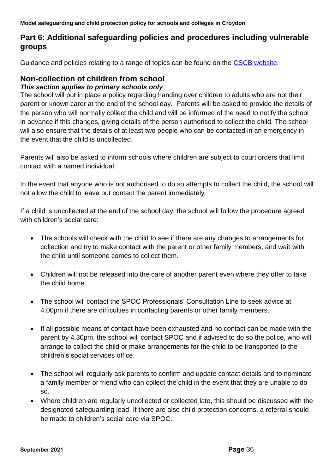# **Part 6: Additional safeguarding policies and procedures including vulnerable groups**

Guidance and policies relating to a range of topics can be found on the [CSCB website.](http://croydonlcsb.org.uk/professionals/policies/)

# **Non-collection of children from school**

### *This section applies to primary schools only*

The school will put in place a policy regarding handing over children to adults who are not their parent or known carer at the end of the school day. Parents will be asked to provide the details of the person who will normally collect the child and will be informed of the need to notify the school in advance if this changes, giving details of the person authorised to collect the child. The school will also ensure that the details of at least two people who can be contacted in an emergency in the event that the child is uncollected.

Parents will also be asked to inform schools where children are subject to court orders that limit contact with a named individual.

In the event that anyone who is not authorised to do so attempts to collect the child, the school will not allow the child to leave but contact the parent immediately.

If a child is uncollected at the end of the school day, the school will follow the procedure agreed with children's social care:

- The schools will check with the child to see if there are any changes to arrangements for collection and try to make contact with the parent or other family members, and wait with the child until someone comes to collect them.
- Children will not be released into the care of another parent even where they offer to take the child home.
- The school will contact the SPOC Professionals' Consultation Line to seek advice at 4.00pm if there are difficulties in contacting parents or other family members.
- If all possible means of contact have been exhausted and no contact can be made with the parent by 4.30pm, the school will contact SPOC and if advised to do so the police, who will arrange to collect the child or make arrangements for the child to be transported to the children's social services office.
- The school will regularly ask parents to confirm and update contact details and to nominate a family member or friend who can collect the child in the event that they are unable to do so.
- Where children are regularly uncollected or collected late, this should be discussed with the designated safeguarding lead. If there are also child protection concerns, a referral should be made to children's social care via SPOC.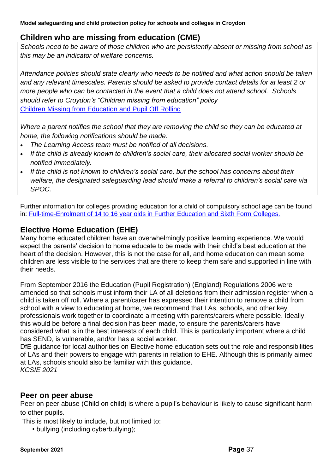## **Children who are missing from education (CME)**

*Schools need to be aware of those children who are persistently absent or missing from school as this may be an indicator of welfare concerns.* 

*Attendance policies should state clearly who needs to be notified and what action should be taken and any relevant timescales. Parents should be asked to provide contact details for at least 2 or more people who can be contacted in the event that a child does not attend school. Schools should refer to Croydon's "Children missing from education" policy*  [Children Missing from Education and Pupil Off Rolling](https://www.croydon.gov.uk/education/schools-new/attendance/child-missing-education)

*Where a parent notifies the school that they are removing the child so they can be educated at home, the following notifications should be made:*

- *The Learning Access team must be notified of all decisions.*
- *If the child is already known to children's social care, their allocated social worker should be notified immediately.*
- *If the child is not known to children's social care, but the school has concerns about their welfare, the designated safeguarding lead should make a referral to children's social care via SPOC.*

Further information for colleges providing education for a child of compulsory school age can be found in: [Full-time-Enrolment of 14 to 16 year olds in Further Education and Sixth Form Colleges.](https://www.gov.uk/guidance/full-time-enrolment-of-14-to-16-year-olds-in-further-education-and-sixth-form-colleges)

## **Elective Home Education (EHE)**

Many home educated children have an overwhelmingly positive learning experience. We would expect the parents' decision to home educate to be made with their child's best education at the heart of the decision. However, this is not the case for all, and home education can mean some children are less visible to the services that are there to keep them safe and supported in line with their needs.

From September 2016 the Education (Pupil Registration) (England) Regulations 2006 were amended so that schools must inform their LA of all deletions from their admission register when a child is taken off roll. Where a parent/carer has expressed their intention to remove a child from school with a view to educating at home, we recommend that LAs, schools, and other key professionals work together to coordinate a meeting with parents/carers where possible. Ideally, this would be before a final decision has been made, to ensure the parents/carers have considered what is in the best interests of each child. This is particularly important where a child has SEND, is vulnerable, and/or has a social worker.

DfE guidance for local authorities on Elective home education sets out the role and responsibilities of LAs and their powers to engage with parents in relation to EHE. Although this is primarily aimed at LAs, schools should also be familiar with this guidance. *KCSIE 2021*

## **Peer on peer abuse**

Peer on peer abuse (Child on child) is where a pupil's behaviour is likely to cause significant harm to other pupils.

This is most likely to include, but not limited to:

• bullying (including cyberbullying);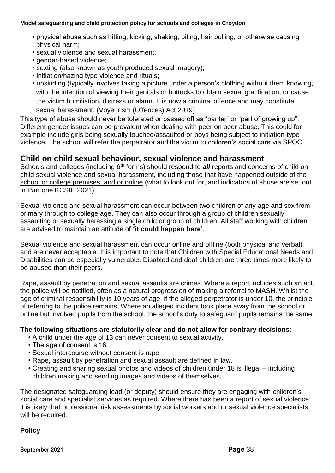- physical abuse such as hitting, kicking, shaking, biting, hair pulling, or otherwise causing physical harm;
- sexual violence and sexual harassment;
- gender-based violence;
- sexting (also known as youth produced sexual imagery);
- initiation/hazing type violence and rituals;
- upskirting (typically involves taking a picture under a person's clothing without them knowing, with the intention of viewing their genitals or buttocks to obtain sexual gratification, or cause the victim humiliation, distress or alarm. It is now a criminal offence and may constitute sexual harassment. (Voyeurism (Offences) Act 2019)

This type of abuse should never be tolerated or passed off as "banter" or "part of growing up". Different gender issues can be prevalent when dealing with peer on peer abuse. This could for example include girls being sexually touched/assaulted or boys being subject to initiation-type violence. The school will refer the perpetrator and the victim to children's social care via SPOC

## **Child on child sexual behaviour, sexual violence and harassment**

Schools and colleges (including 6<sup>th</sup> forms) should respond to *all* reports and concerns of child on child sexual violence and sexual harassment, including those that have happened outside of the school or college premises, and or online (what to look out for, and indicators of abuse are set out in Part one KCSIE 2021).

Sexual violence and sexual harassment can occur between two children of any age and sex from primary through to college age. They can also occur through a group of children sexually assaulting or sexually harassing a single child or group of children. All staff working with children are advised to maintain an attitude of **'it could happen here'**.

Sexual violence and sexual harassment can occur online and offline (both physical and verbal) and are never acceptable. It is important to note that Children with Special Educational Needs and Disabilities can be especially vulnerable. Disabled and deaf children are three times more likely to be abused than their peers.

Rape, assault by penetration and sexual assaults are crimes. Where a report includes such an act, the police will be notified, often as a natural progression of making a referral to MASH. Whilst the age of criminal responsibility is 10 years of age, if the alleged perpetrator is under 10, the principle of referring to the police remains. Where an alleged incident took place away from the school or online but involved pupils from the school, the school's duty to safeguard pupils remains the same.

### **The following situations are statutorily clear and do not allow for contrary decisions:**

- A child under the age of 13 can never consent to sexual activity.
- The age of consent is 16.
- Sexual intercourse without consent is rape.
- Rape, assault by penetration and sexual assault are defined in law.
- Creating and sharing sexual photos and videos of children under 18 is illegal including children making and sending images and videos of themselves.

The designated safeguarding lead (or deputy) should ensure they are engaging with children's social care and specialist services as required. Where there has been a report of sexual violence, it is likely that professional risk assessments by social workers and or sexual violence specialists will be required.

## **Policy**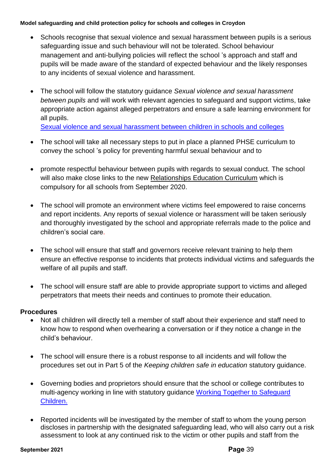- Schools recognise that sexual violence and sexual harassment between pupils is a serious safeguarding issue and such behaviour will not be tolerated. School behaviour management and anti-bullying policies will reflect the school 's approach and staff and pupils will be made aware of the standard of expected behaviour and the likely responses to any incidents of sexual violence and harassment.
- The school will follow the statutory guidance *Sexual violence and sexual harassment between pupils* and will work with relevant agencies to safeguard and support victims, take appropriate action against alleged perpetrators and ensure a safe learning environment for all pupils.

[Sexual violence and sexual harassment between children in schools and colleges](https://assets.publishing.service.gov.uk/government/uploads/system/uploads/attachment_data/file/719902/Sexual_violence_and_sexual_harassment_between_children_in_schools_and_colleges.pdf)

- The school will take all necessary steps to put in place a planned PHSE curriculum to convey the school 's policy for preventing harmful sexual behaviour and to
- promote respectful behaviour between pupils with regards to sexual conduct. The school will also make close links to the new [Relationships Education Curriculum](https://www.gov.uk/government/publications/relationships-education-relationships-and-sex-education-rse-and-health-education) which is compulsory for all schools from September 2020.
- The school will promote an environment where victims feel empowered to raise concerns and report incidents. Any reports of sexual violence or harassment will be taken seriously and thoroughly investigated by the school and appropriate referrals made to the police and children's social care.
- The school will ensure that staff and governors receive relevant training to help them ensure an effective response to incidents that protects individual victims and safeguards the welfare of all pupils and staff.
- The school will ensure staff are able to provide appropriate support to victims and alleged perpetrators that meets their needs and continues to promote their education.

## **Procedures**

- Not all children will directly tell a member of staff about their experience and staff need to know how to respond when overhearing a conversation or if they notice a change in the child's behaviour.
- The school will ensure there is a robust response to all incidents and will follow the procedures set out in Part 5 of the *Keeping children safe in education* statutory guidance.
- Governing bodies and proprietors should ensure that the school or college contributes to multi-agency working in line with statutory guidance [Working Together to Safeguard](https://www.gov.uk/government/publications/working-together-to-safeguard-children--2)  [Children.](https://www.gov.uk/government/publications/working-together-to-safeguard-children--2)
- Reported incidents will be investigated by the member of staff to whom the young person discloses in partnership with the designated safeguarding lead, who will also carry out a risk assessment to look at any continued risk to the victim or other pupils and staff from the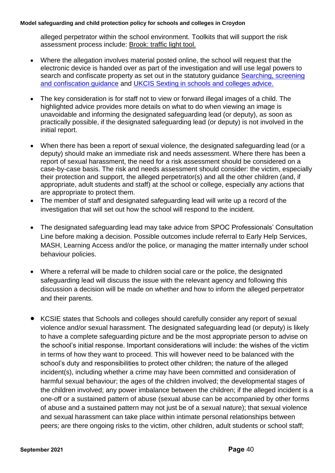alleged perpetrator within the school environment. Toolkits that will support the risk assessment process include: [Brook: traffic light tool.](https://legacy.brook.org.uk/brook_tools/traffic/index.html?syn_partner=)

- Where the allegation involves material posted online, the school will request that the electronic device is handed over as part of the investigation and will use legal powers to search and confiscate property as set out in the statutory guidance Searching, screening [and confiscation guidance](https://assets.publishing.service.gov.uk/government/uploads/system/uploads/attachment_data/file/674416/Searching_screening_and_confiscation.pdf) and [UKCIS Sexting in schools and colleges advice.](https://www.gov.uk/government/publications/sexting-in-schools-and-colleges)
- The key consideration is for staff not to view or forward illegal images of a child. The highlighted advice provides more details on what to do when viewing an image is unavoidable and informing the designated safeguarding lead (or deputy), as soon as practically possible, if the designated safeguarding lead (or deputy) is not involved in the initial report.
- When there has been a report of sexual violence, the designated safeguarding lead (or a deputy) should make an immediate risk and needs assessment. Where there has been a report of sexual harassment, the need for a risk assessment should be considered on a case-by-case basis. The risk and needs assessment should consider: the victim, especially their protection and support, the alleged perpetrator(s) and all the other children (and, if appropriate, adult students and staff) at the school or college, especially any actions that are appropriate to protect them.
- The member of staff and designated safeguarding lead will write up a record of the investigation that will set out how the school will respond to the incident.
- The designated safeguarding lead may take advice from SPOC Professionals' Consultation Line before making a decision. Possible outcomes include referral to Early Help Services, MASH, Learning Access and/or the police, or managing the matter internally under school behaviour policies.
- Where a referral will be made to children social care or the police, the designated safeguarding lead will discuss the issue with the relevant agency and following this discussion a decision will be made on whether and how to inform the alleged perpetrator and their parents.
- KCSIE states that Schools and colleges should carefully consider any report of sexual violence and/or sexual harassment. The designated safeguarding lead (or deputy) is likely to have a complete safeguarding picture and be the most appropriate person to advise on the school's initial response. Important considerations will include: the wishes of the victim in terms of how they want to proceed. This will however need to be balanced with the school's duty and responsibilities to protect other children; the nature of the alleged incident(s), including whether a crime may have been committed and consideration of harmful sexual behaviour; the ages of the children involved; the developmental stages of the children involved; any power imbalance between the children; if the alleged incident is a one-off or a sustained pattern of abuse (sexual abuse can be accompanied by other forms of abuse and a sustained pattern may not just be of a sexual nature); that sexual violence and sexual harassment can take place within intimate personal relationships between peers; are there ongoing risks to the victim, other children, adult students or school staff;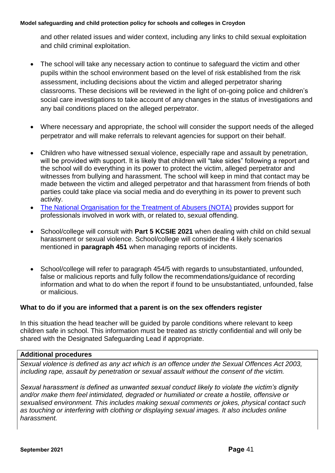and other related issues and wider context, including any links to child sexual exploitation and child criminal exploitation.

- The school will take any necessary action to continue to safeguard the victim and other pupils within the school environment based on the level of risk established from the risk assessment, including decisions about the victim and alleged perpetrator sharing classrooms. These decisions will be reviewed in the light of on-going police and children's social care investigations to take account of any changes in the status of investigations and any bail conditions placed on the alleged perpetrator.
- Where necessary and appropriate, the school will consider the support needs of the alleged perpetrator and will make referrals to relevant agencies for support on their behalf.
- Children who have witnessed sexual violence, especially rape and assault by penetration, will be provided with support. It is likely that children will "take sides" following a report and the school will do everything in its power to protect the victim, alleged perpetrator and witnesses from bullying and harassment. The school will keep in mind that contact may be made between the victim and alleged perpetrator and that harassment from friends of both parties could take place via social media and do everything in its power to prevent such activity.
- [The National Organisation for the Treatment of Abusers \(NOTA\)](https://www.nota.co.uk/) provides support for professionals involved in work with, or related to, sexual offending.
- School/college will consult with **Part 5 KCSIE 2021** when dealing with child on child sexual harassment or sexual violence. School/college will consider the 4 likely scenarios mentioned in **paragraph 451** when managing reports of incidents.
- School/college will refer to paragraph 454/5 with regards to unsubstantiated, unfounded, false or malicious reports and fully follow the recommendations/guidance of recording information and what to do when the report if found to be unsubstantiated, unfounded, false or malicious.

### **What to do if you are informed that a parent is on the sex offenders register**

In this situation the head teacher will be guided by parole conditions where relevant to keep children safe in school. This information must be treated as strictly confidential and will only be shared with the Designated Safeguarding Lead if appropriate.

### **Additional procedures**

*Sexual violence is defined as any act which is an offence under the Sexual Offences Act 2003, including rape, assault by penetration or sexual assault without the consent of the victim.*

*Sexual harassment is defined as unwanted sexual conduct likely to violate the victim's dignity and/or make them feel intimidated, degraded or humiliated or create a hostile, offensive or sexualised environment. This includes making sexual comments or jokes, physical contact such as touching or interfering with clothing or displaying sexual images. It also includes online harassment.*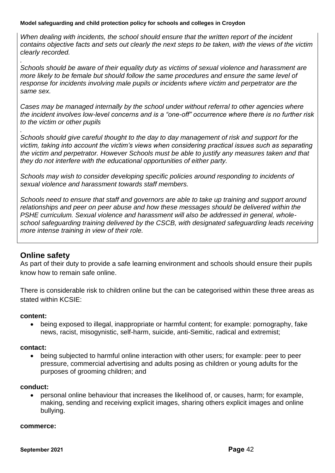*When dealing with incidents, the school should ensure that the written report of the incident contains objective facts and sets out clearly the next steps to be taken, with the views of the victim clearly recorded.*

*Schools should be aware of their equality duty as victims of sexual violence and harassment are more likely to be female but should follow the same procedures and ensure the same level of response for incidents involving male pupils or incidents where victim and perpetrator are the same sex.*

*Cases may be managed internally by the school under without referral to other agencies where the incident involves low-level concerns and is a "one-off" occurrence where there is no further risk to the victim or other pupils*

*. Schools should give careful thought to the day to day management of risk and support for the victim, taking into account the victim's views when considering practical issues such as separating the victim and perpetrator. However Schools must be able to justify any measures taken and that they do not interfere with the educational opportunities of either party.*

*Schools may wish to consider developing specific policies around responding to incidents of sexual violence and harassment towards staff members.*

*Schools need to ensure that staff and governors are able to take up training and support around relationships and peer on peer abuse and how these messages should be delivered within the PSHE curriculum. Sexual violence and harassment will also be addressed in general, wholeschool safeguarding training delivered by the CSCB, with designated safeguarding leads receiving more intense training in view of their role.*

## **Online safety**

*.*

As part of their duty to provide a safe learning environment and schools should ensure their pupils know how to remain safe online.

There is considerable risk to children online but the can be categorised within these three areas as stated within KCSIE:

#### **content:**

• being exposed to illegal, inappropriate or harmful content; for example: pornography, fake news, racist, misogynistic, self-harm, suicide, anti-Semitic, radical and extremist;

#### **contact:**

• being subjected to harmful online interaction with other users; for example: peer to peer pressure, commercial advertising and adults posing as children or young adults for the purposes of grooming children; and

#### **conduct:**

• personal online behaviour that increases the likelihood of, or causes, harm; for example, making, sending and receiving explicit images, sharing others explicit images and online bullying.

#### **commerce:**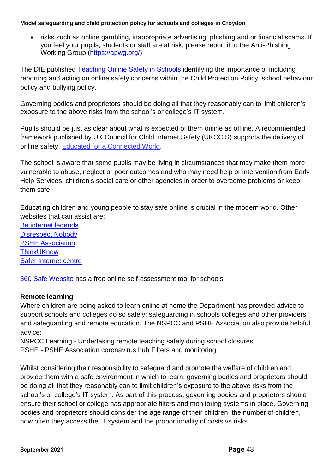• risks such as online gambling, inappropriate advertising, phishing and or financial scams. If you feel your pupils, students or staff are at risk, please report it to the Anti-Phishing Working Group [\(https://apwg.org/\)](https://apwg.org/).

The DfE published [Teaching Online Safety in Schools](https://www.gov.uk/government/publications/teaching-online-safety-in-schools) identifying the importance of including reporting and acting on online safety concerns within the Child Protection Policy, school behaviour policy and bullying policy.

Governing bodies and proprietors should be doing all that they reasonably can to limit children's exposure to the above risks from the school's or college's IT system.

Pupils should be just as clear about what is expected of them online as offline. A recommended framework published by UK Council for Child Internet Safety (UKCCIS) supports the delivery of online safety. [Educated for a Connected World.](https://assets.publishing.service.gov.uk/government/uploads/system/uploads/attachment_data/file/759003/Education_for_a_connected_world_PDF.PDF)

The school is aware that some pupils may be living in circumstances that may make them more vulnerable to abuse, neglect or poor outcomes and who may need help or intervention from Early Help Services, children's social care or other agencies in order to overcome problems or keep them safe.

Educating children and young people to stay safe online is crucial in the modern world. Other websites that can assist are;

[Be internet legends](https://beinternetlegends.withgoogle.com/en_uk) [Disrespect Nobody](https://www.disrespectnobody.co.uk/relationship-abuse/what-is-relationship-abuse/) [PSHE Association](https://www.pshe-association.org.uk/) **[ThinkUKnow](https://www.thinkuknow.co.uk/)** [Safer Internet centre](https://www.saferinternet.org.uk/)

[360 Safe Website](https://360safe.org.uk/) has a free online self-assessment tool for schools.

### **Remote learning**

Where children are being asked to learn online at home the Department has provided advice to support schools and colleges do so safely: safeguarding in schools colleges and other providers and safeguarding and remote education. The NSPCC and PSHE Association also provide helpful advice:

NSPCC Learning - Undertaking remote teaching safely during school closures PSHE - PSHE Association coronavirus hub Filters and monitoring

Whilst considering their responsibility to safeguard and promote the welfare of children and provide them with a safe environment in which to learn, governing bodies and proprietors should be doing all that they reasonably can to limit children's exposure to the above risks from the school's or college's IT system. As part of this process, governing bodies and proprietors should ensure their school or college has appropriate filters and monitoring systems in place. Governing bodies and proprietors should consider the age range of their children, the number of children, how often they access the IT system and the proportionality of costs vs risks.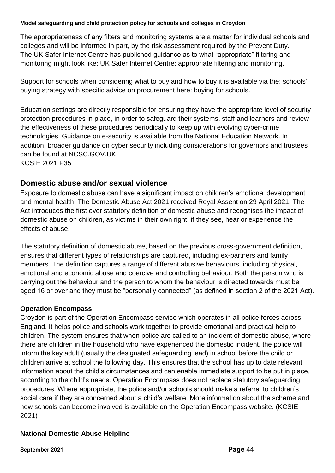The appropriateness of any filters and monitoring systems are a matter for individual schools and colleges and will be informed in part, by the risk assessment required by the Prevent Duty. The UK Safer Internet Centre has published guidance as to what "appropriate" filtering and monitoring might look like: UK Safer Internet Centre: appropriate filtering and monitoring.

Support for schools when considering what to buy and how to buy it is available via the: schools' buying strategy with specific advice on procurement here: buying for schools.

Education settings are directly responsible for ensuring they have the appropriate level of security protection procedures in place, in order to safeguard their systems, staff and learners and review the effectiveness of these procedures periodically to keep up with evolving cyber-crime technologies. Guidance on e-security is available from the National Education Network. In addition, broader guidance on cyber security including considerations for governors and trustees can be found at NCSC.GOV.UK. KCSIE 2021 P35

## **Domestic abuse and/or sexual violence**

Exposure to domestic abuse can have a significant impact on children's emotional development and mental health. The Domestic Abuse Act 2021 received Royal Assent on 29 April 2021. The Act introduces the first ever statutory definition of domestic abuse and recognises the impact of domestic abuse on children, as victims in their own right, if they see, hear or experience the effects of abuse.

The statutory definition of domestic abuse, based on the previous cross-government definition, ensures that different types of relationships are captured, including ex-partners and family members. The definition captures a range of different abusive behaviours, including physical, emotional and economic abuse and coercive and controlling behaviour. Both the person who is carrying out the behaviour and the person to whom the behaviour is directed towards must be aged 16 or over and they must be "personally connected" (as defined in section 2 of the 2021 Act).

## **Operation Encompass**

Croydon is part of the Operation Encompass service which operates in all police forces across England. It helps police and schools work together to provide emotional and practical help to children. The system ensures that when police are called to an incident of domestic abuse, where there are children in the household who have experienced the domestic incident, the police will inform the key adult (usually the designated safeguarding lead) in school before the child or children arrive at school the following day. This ensures that the school has up to date relevant information about the child's circumstances and can enable immediate support to be put in place, according to the child's needs. Operation Encompass does not replace statutory safeguarding procedures. Where appropriate, the police and/or schools should make a referral to children's social care if they are concerned about a child's welfare. More information about the scheme and how schools can become involved is available on the Operation Encompass website. (KCSIE 2021)

## **National Domestic Abuse Helpline**

**September 2021 Page** 44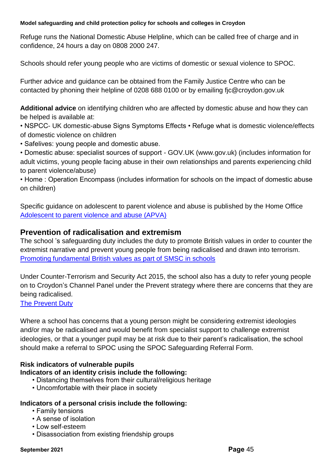Refuge runs the National Domestic Abuse Helpline, which can be called free of charge and in confidence, 24 hours a day on 0808 2000 247.

Schools should refer young people who are victims of domestic or sexual violence to SPOC.

Further advice and guidance can be obtained from the Family Justice Centre who can be contacted by phoning their helpline of 0208 688 0100 or by emailing [fjc@croydon.gov.uk](mailto:fjc@croydon.gov.uk)

**Additional advice** on identifying children who are affected by domestic abuse and how they can be helped is available at:

• NSPCC- UK domestic-abuse Signs Symptoms Effects • Refuge what is domestic violence/effects of domestic violence on children

• Safelives: young people and domestic abuse.

• Domestic abuse: specialist sources of support - GOV.UK (www.gov.uk) (includes information for adult victims, young people facing abuse in their own relationships and parents experiencing child to parent violence/abuse)

• Home : Operation Encompass (includes information for schools on the impact of domestic abuse on children)

Specific guidance on adolescent to parent violence and abuse is published by the Home Office [Adolescent to parent violence and abuse \(APVA\)](https://assets.publishing.service.gov.uk/government/uploads/system/uploads/attachment_data/file/732573/APVA.pdf)

## **Prevention of radicalisation and extremism**

The school 's safeguarding duty includes the duty to promote British values in order to counter the extremist narrative and prevent young people from being radicalised and drawn into terrorism. [Promoting fundamental British values as part of SMSC in schools](https://assets.publishing.service.gov.uk/government/uploads/system/uploads/attachment_data/file/380595/SMSC_Guidance_Maintained_Schools.pdf)

Under Counter-Terrorism and Security Act 2015, the school also has a duty to refer young people on to Croydon's Channel Panel under the Prevent strategy where there are concerns that they are being radicalised.

[The Prevent Duty](https://assets.publishing.service.gov.uk/government/uploads/system/uploads/attachment_data/file/439598/prevent-duty-departmental-advice-v6.pdf)

Where a school has concerns that a young person might be considering extremist ideologies and/or may be radicalised and would benefit from specialist support to challenge extremist ideologies, or that a younger pupil may be at risk due to their parent's radicalisation, the school should make a referral to SPOC using the SPOC Safeguarding Referral Form.

## **Risk indicators of vulnerable pupils**

### **Indicators of an identity crisis include the following:**

- Distancing themselves from their cultural/religious heritage
- Uncomfortable with their place in society

### **Indicators of a personal crisis include the following:**

- Family tensions
- A sense of isolation
- Low self-esteem
- Disassociation from existing friendship groups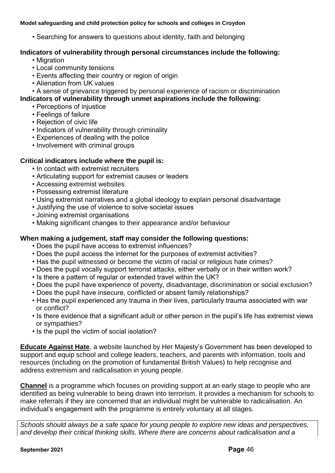• Searching for answers to questions about identity, faith and belonging

### **Indicators of vulnerability through personal circumstances include the following:**

- Migration
- Local community tensions
- Events affecting their country or region of origin
- Alienation from UK values
- A sense of grievance triggered by personal experience of racism or discrimination **Indicators of vulnerability through unmet aspirations include the following:**
	- Perceptions of injustice
	- Feelings of failure
	- Rejection of civic life
	- Indicators of vulnerability through criminality
	- Experiences of dealing with the police
	- Involvement with criminal groups

## **Critical indicators include where the pupil is:**

- In contact with extremist recruiters
- Articulating support for extremist causes or leaders
- Accessing extremist websites
- Possessing extremist literature
- Using extremist narratives and a global ideology to explain personal disadvantage
- Justifying the use of violence to solve societal issues
- Joining extremist organisations
- Making significant changes to their appearance and/or behaviour

## **When making a judgement, staff may consider the following questions:**

- Does the pupil have access to extremist influences?
- Does the pupil access the internet for the purposes of extremist activities?
- Has the pupil witnessed or become the victim of racial or religious hate crimes?
- Does the pupil vocally support terrorist attacks, either verbally or in their written work?
- Is there a pattern of regular or extended travel within the UK?
- Does the pupil have experience of poverty, disadvantage, discrimination or social exclusion?
- Does the pupil have insecure, conflicted or absent family relationships?
- Has the pupil experienced any trauma in their lives, particularly trauma associated with war or conflict?
- Is there evidence that a significant adult or other person in the pupil's life has extremist views or sympathies?
- Is the pupil the victim of social isolation?

**[Educate Against Hate](https://educateagainsthate.com/)**, a website launched by Her Majesty's Government has been developed to support and equip school and college leaders, teachers, and parents with information, tools and resources (including on the promotion of fundamental British Values) to help recognise and address extremism and radicalisation in young people.

**[Channel](https://assets.publishing.service.gov.uk/government/uploads/system/uploads/attachment_data/file/425189/Channel_Duty_Guidance_April_2015.pdf)** is a programme which focuses on providing support at an early stage to people who are identified as being vulnerable to being drawn into terrorism. It provides a mechanism for schools to make referrals if they are concerned that an individual might be vulnerable to radicalisation. An individual's engagement with the programme is entirely voluntary at all stages.

*Schools should always be a safe space for young people to explore new ideas and perspectives, and develop their critical thinking skills. Where there are concerns about radicalisation and a*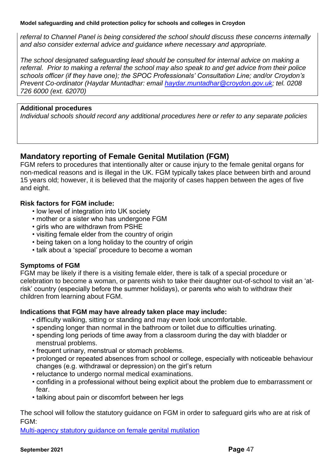*referral to Channel Panel is being considered the school should discuss these concerns internally and also consider external advice and guidance where necessary and appropriate.*

*The school designated safeguarding lead should be consulted for internal advice on making a referral. Prior to making a referral the school may also speak to and get advice from their police schools officer (if they have one); the SPOC Professionals' Consultation Line; and/or Croydon's Prevent Co-ordinator (Haydar Muntadhar: email [haydar.muntadhar@croydon.gov.uk;](mailto:haydar.muntadhar@croydon.gov.uk) tel. 0208 726 6000 (ext. 62070)*

#### **Additional procedures**

*Individual schools should record any additional procedures here or refer to any separate policies*

## **Mandatory reporting of Female Genital Mutilation (FGM)**

FGM refers to procedures that intentionally alter or cause injury to the female genital organs for non-medical reasons and is illegal in the UK. FGM typically takes place between birth and around 15 years old; however, it is believed that the majority of cases happen between the ages of five and eight.

### **Risk factors for FGM include:**

- low level of integration into UK society
- mother or a sister who has undergone FGM
- girls who are withdrawn from PSHE
- visiting female elder from the country of origin
- being taken on a long holiday to the country of origin
- talk about a 'special' procedure to become a woman

### **Symptoms of FGM**

FGM may be likely if there is a visiting female elder, there is talk of a special procedure or celebration to become a woman, or parents wish to take their daughter out-of-school to visit an 'atrisk' country (especially before the summer holidays), or parents who wish to withdraw their children from learning about FGM.

### **Indications that FGM may have already taken place may include:**

- difficulty walking, sitting or standing and may even look uncomfortable.
- spending longer than normal in the bathroom or toilet due to difficulties urinating.
- spending long periods of time away from a classroom during the day with bladder or menstrual problems.
- frequent urinary, menstrual or stomach problems.
- prolonged or repeated absences from school or college, especially with noticeable behaviour changes (e.g. withdrawal or depression) on the girl's return
- reluctance to undergo normal medical examinations.
- confiding in a professional without being explicit about the problem due to embarrassment or fear.
- talking about pain or discomfort between her legs

The school will follow the statutory guidance on FGM in order to safeguard girls who are at risk of FGM:

[Multi-agency statutory guidance on female genital mutilation](https://assets.publishing.service.gov.uk/government/uploads/system/uploads/attachment_data/file/746560/6-1914-HO-Multi_Agency_Statutory_Guidance_on_FGM__-_MASTER_V7_-_FINAL_-_Amended081018.pdf)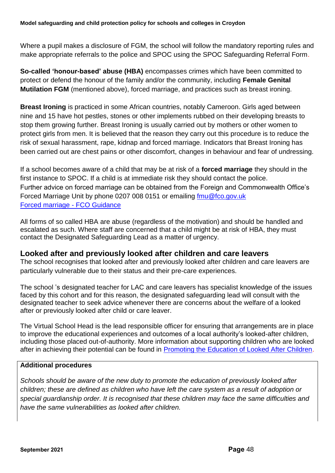Where a pupil makes a disclosure of FGM, the school will follow the mandatory reporting rules and make appropriate referrals to the police and SPOC using the SPOC Safeguarding Referral Form.

**So-called 'honour-based' abuse (HBA)** encompasses crimes which have been committed to protect or defend the honour of the family and/or the community, including **Female Genital Mutilation FGM** (mentioned above), forced marriage, and practices such as breast ironing.

**Breast Ironing** is practiced in some African countries, notably Cameroon. Girls aged between nine and 15 have hot pestles, stones or other implements rubbed on their developing breasts to stop them growing further. Breast Ironing is usually carried out by mothers or other women to protect girls from men. It is believed that the reason they carry out this procedure is to reduce the risk of sexual harassment, rape, kidnap and forced marriage. Indicators that Breast Ironing has been carried out are chest pains or other discomfort, changes in behaviour and fear of undressing.

If a school becomes aware of a child that may be at risk of a **forced marriage** they should in the first instance to SPOC. If a child is at immediate risk they should contact the police. Further advice on forced marriage can be obtained from the Foreign and Commonwealth Office's Forced Marriage Unit by phone 0207 008 0151 or emailing [fmu@fco.gov.uk](mailto:fmu@fco.gov.uk) [Forced marriage -](https://www.gov.uk/guidance/forced-marriage) FCO Guidance

All forms of so called HBA are abuse (regardless of the motivation) and should be handled and escalated as such. Where staff are concerned that a child might be at risk of HBA, they must contact the Designated Safeguarding Lead as a matter of urgency.

## **Looked after and previously looked after children and care leavers**

The school recognises that looked after and previously looked after children and care leavers are particularly vulnerable due to their status and their pre-care experiences.

The school 's designated teacher for LAC and care leavers has specialist knowledge of the issues faced by this cohort and for this reason, the designated safeguarding lead will consult with the designated teacher to seek advice whenever there are concerns about the welfare of a looked after or previously looked after child or care leaver.

The Virtual School Head is the lead responsible officer for ensuring that arrangements are in place to improve the educational experiences and outcomes of a local authority's looked-after children, including those placed out-of-authority. More information about supporting children who are looked after in achieving their potential can be found in [Promoting the Education of Looked After Children.](https://www.gov.uk/government/publications/promoting-the-education-of-looked-after-children)

## **Additional procedures**

*Schools should be aware of the new duty to promote the education of previously looked after children; these are defined as children who have left the care system as a result of adoption or special guardianship order. It is recognised that these children may face the same difficulties and have the same vulnerabilities as looked after children.*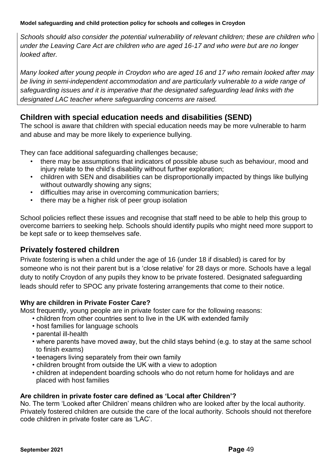*Schools should also consider the potential vulnerability of relevant children; these are children who under the Leaving Care Act are children who are aged 16-17 and who were but are no longer looked after.* 

*Many looked after young people in Croydon who are aged 16 and 17 who remain looked after may be living in semi-independent accommodation and are particularly vulnerable to a wide range of safeguarding issues and it is imperative that the designated safeguarding lead links with the designated LAC teacher where safeguarding concerns are raised.*

## **Children with special education needs and disabilities (SEND)**

The school is aware that children with special education needs may be more vulnerable to harm and abuse and may be more likely to experience bullying.

They can face additional safeguarding challenges because;

- there may be assumptions that indicators of possible abuse such as behaviour, mood and injury relate to the child's disability without further exploration:
- children with SEN and disabilities can be disproportionally impacted by things like bullying without outwardly showing any signs;
- difficulties may arise in overcoming communication barriers;
- there may be a higher risk of peer group isolation

School policies reflect these issues and recognise that staff need to be able to help this group to overcome barriers to seeking help. Schools should identify pupils who might need more support to be kept safe or to keep themselves safe.

# **Privately fostered children**

Private fostering is when a child under the age of 16 (under 18 if disabled) is cared for by someone who is not their parent but is a 'close relative' for 28 days or more. Schools have a legal duty to notify Croydon of any pupils they know to be private fostered. Designated safeguarding leads should refer to SPOC any private fostering arrangements that come to their notice.

## **Why are children in Private Foster Care?**

Most frequently, young people are in private foster care for the following reasons:

- children from other countries sent to live in the UK with extended family
- host families for language schools
- parental ill-health
- where parents have moved away, but the child stays behind (e.g. to stay at the same school to finish exams)
- teenagers living separately from their own family
- children brought from outside the UK with a view to adoption
- children at independent boarding schools who do not return home for holidays and are placed with host families

## **Are children in private foster care defined as 'Local after Children'?**

No. The term 'Looked after Children' means children who are looked after by the local authority. Privately fostered children are outside the care of the local authority. Schools should not therefore code children in private foster care as 'LAC'.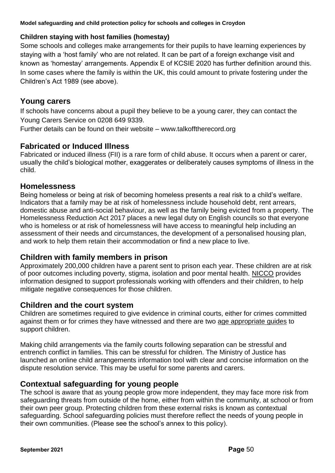## **Children staying with host families (homestay)**

Some schools and colleges make arrangements for their pupils to have learning experiences by staying with a 'host family' who are not related. It can be part of a foreign exchange visit and known as 'homestay' arrangements. Appendix E of KCSIE 2020 has further definition around this. In some cases where the family is within the UK, this could amount to private fostering under the Children's Act 1989 (see above).

## **Young carers**

If schools have concerns about a pupil they believe to be a young carer, they can contact the Young Carers Service on 0208 649 9339.

Further details can be found on their website – [www.talkofftherecord.org](http://www.talkofftherecord.org/)

## **Fabricated or Induced Illness**

Fabricated or induced illness (FII) is a rare form of child abuse. It occurs when a parent or carer, usually the child's biological mother, exaggerates or deliberately causes symptoms of illness in the child.

## **Homelessness**

Being homeless or being at risk of becoming homeless presents a real risk to a child's welfare. Indicators that a family may be at risk of homelessness include household debt, rent arrears, domestic abuse and anti-social behaviour, as well as the family being evicted from a property. The Homelessness Reduction Act 2017 places a new legal duty on English councils so that everyone who is homeless or at risk of homelessness will have access to meaningful help including an assessment of their needs and circumstances, the development of a personalised housing plan, and work to help them retain their accommodation or find a new place to live.

## **Children with family members in prison**

Approximately 200,000 children have a parent sent to prison each year. These children are at risk of poor outcomes including poverty, stigma, isolation and poor mental health. [NICCO](https://www.nicco.org.uk/) provides information designed to support professionals working with offenders and their children, to help mitigate negative consequences for those children.

## **Children and the court system**

Children are sometimes required to give evidence in criminal courts, either for crimes committed against them or for crimes they have witnessed and there are two [age appropriate](http://www.socialworkerstoolbox.com/going-court-booklet-children-young-people-going-witnesses-crown-magistrates-youth-court/) guides to support children.

Making child arrangements via the family courts following separation can be stressful and entrench conflict in families. This can be stressful for children. The Ministry of Justice has launched an online child arrangements information tool with clear and concise information on the dispute resolution service. This may be useful for some parents and carers.

## **Contextual safeguarding for young people**

The school is aware that as young people grow more independent, they may face more risk from safeguarding threats from outside of the home, either from within the community, at school or from their own peer group. Protecting children from these external risks is known as contextual safeguarding. School safeguarding policies must therefore reflect the needs of young people in their own communities. (Please see the school's annex to this policy).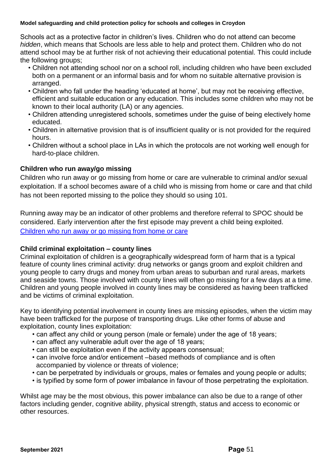Schools act as a protective factor in children's lives. Children who do not attend can become *hidden*, which means that Schools are less able to help and protect them. Children who do not attend school may be at further risk of not achieving their educational potential. This could include the following groups;

- Children not attending school nor on a school roll, including children who have been excluded both on a permanent or an informal basis and for whom no suitable alternative provision is arranged.
- Children who fall under the heading 'educated at home', but may not be receiving effective, efficient and suitable education or any education. This includes some children who may not be known to their local authority (LA) or any agencies.
- Children attending unregistered schools, sometimes under the guise of being electively home educated.
- Children in alternative provision that is of insufficient quality or is not provided for the required hours.
- Children without a school place in LAs in which the protocols are not working well enough for hard-to-place children.

### **Children who run away/go missing**

Children who run away or go missing from home or care are vulnerable to criminal and/or sexual exploitation. If a school becomes aware of a child who is missing from home or care and that child has not been reported missing to the police they should so using 101.

Running away may be an indicator of other problems and therefore referral to SPOC should be considered. Early intervention after the first episode may prevent a child being exploited. [Children who run away or go missing from home or care](https://assets.publishing.service.gov.uk/government/uploads/system/uploads/attachment_data/file/307867/Statutory_Guidance_-_Missing_from_care__3_.pdf)

## **Child criminal exploitation – county lines**

Criminal exploitation of children is a geographically widespread form of harm that is a typical feature of county lines criminal activity: drug networks or gangs groom and exploit children and young people to carry drugs and money from urban areas to suburban and rural areas, markets and seaside towns. Those involved with county lines will often go missing for a few days at a time. Children and young people involved in county lines may be considered as having been trafficked and be victims of criminal exploitation.

Key to identifying potential involvement in county lines are missing episodes, when the victim may have been trafficked for the purpose of transporting drugs. Like other forms of abuse and exploitation, county lines exploitation:

- can affect any child or young person (male or female) under the age of 18 years;
- can affect any vulnerable adult over the age of 18 years;
- can still be exploitation even if the activity appears consensual;
- can involve force and/or enticement –based methods of compliance and is often accompanied by violence or threats of violence;
- can be perpetrated by individuals or groups, males or females and young people or adults;
- is typified by some form of power imbalance in favour of those perpetrating the exploitation.

Whilst age may be the most obvious, this power imbalance can also be due to a range of other factors including gender, cognitive ability, physical strength, status and access to economic or other resources.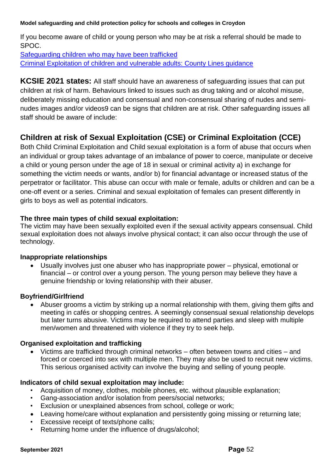If you become aware of child or young person who may be at risk a referral should be made to SPOC.

[Safeguarding children who may have been trafficked](https://assets.publishing.service.gov.uk/government/uploads/system/uploads/attachment_data/file/177033/DFE-00084-2011.pdf) [Criminal Exploitation of children and vulnerable adults: County Lines guidance](https://assets.publishing.service.gov.uk/government/uploads/system/uploads/attachment_data/file/741194/HOCountyLinesGuidanceSept2018.pdf)

**KCSIE 2021 states:** All staff should have an awareness of safeguarding issues that can put children at risk of harm. Behaviours linked to issues such as drug taking and or alcohol misuse, deliberately missing education and consensual and non-consensual sharing of nudes and seminudes images and/or videos9 can be signs that children are at risk. Other safeguarding issues all staff should be aware of include:

# **Children at risk of Sexual Exploitation (CSE) or Criminal Exploitation (CCE)**

Both Child Criminal Exploitation and Child sexual exploitation is a form of abuse that occurs when an individual or group takes advantage of an imbalance of power to coerce, manipulate or deceive a child or young person under the age of 18 in sexual or criminal activity a) in exchange for something the victim needs or wants, and/or b) for financial advantage or increased status of the perpetrator or facilitator. This abuse can occur with male or female, adults or children and can be a one-off event or a series. Criminal and sexual exploitation of females can present differently in girls to boys as well as potential indicators.

### **The three main types of child sexual exploitation:**

The victim may have been sexually exploited even if the sexual activity appears consensual. Child sexual exploitation does not always involve physical contact; it can also occur through the use of technology.

### **Inappropriate relationships**

• Usually involves just one abuser who has inappropriate power – physical, emotional or financial – or control over a young person. The young person may believe they have a genuine friendship or loving relationship with their abuser.

### **Boyfriend/Girlfriend**

• Abuser grooms a victim by striking up a normal relationship with them, giving them gifts and meeting in cafés or shopping centres. A seemingly consensual sexual relationship develops but later turns abusive. Victims may be required to attend parties and sleep with multiple men/women and threatened with violence if they try to seek help.

### **Organised exploitation and trafficking**

• Victims are trafficked through criminal networks – often between towns and cities – and forced or coerced into sex with multiple men. They may also be used to recruit new victims. This serious organised activity can involve the buying and selling of young people.

### **Indicators of child sexual exploitation may include:**

- Acquisition of money, clothes, mobile phones, etc. without plausible explanation;
- Gang-association and/or isolation from peers/social networks;
- Exclusion or unexplained absences from school, college or work;
- Leaving home/care without explanation and persistently going missing or returning late;
- Excessive receipt of texts/phone calls;
- Returning home under the influence of drugs/alcohol;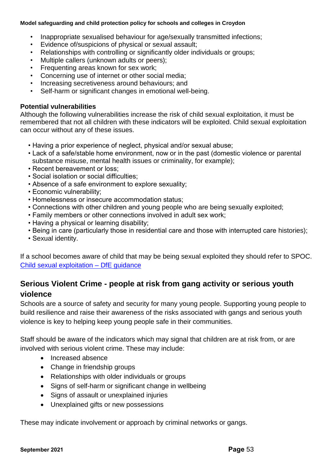- Inappropriate sexualised behaviour for age/sexually transmitted infections;
- Evidence of/suspicions of physical or sexual assault;
- Relationships with controlling or significantly older individuals or groups;
- Multiple callers (unknown adults or peers);
- Frequenting areas known for sex work;
- Concerning use of internet or other social media;
- Increasing secretiveness around behaviours; and
- Self-harm or significant changes in emotional well-being.

### **Potential vulnerabilities**

Although the following vulnerabilities increase the risk of child sexual exploitation, it must be remembered that not all children with these indicators will be exploited. Child sexual exploitation can occur without any of these issues.

- Having a prior experience of neglect, physical and/or sexual abuse;
- Lack of a safe/stable home environment, now or in the past (domestic violence or parental substance misuse, mental health issues or criminality, for example);
- Recent bereavement or loss;
- Social isolation or social difficulties;
- Absence of a safe environment to explore sexuality;
- Economic vulnerability;
- Homelessness or insecure accommodation status;
- Connections with other children and young people who are being sexually exploited;
- Family members or other connections involved in adult sex work;
- Having a physical or learning disability;
- Being in care (particularly those in residential care and those with interrupted care histories);
- Sexual identity.

If a school becomes aware of child that may be being sexual exploited they should refer to SPOC. [Child sexual exploitation –](https://assets.publishing.service.gov.uk/government/uploads/system/uploads/attachment_data/file/591903/CSE_Guidance_Core_Document_13.02.2017.pdf) DfE guidance

# **Serious Violent Crime - people at risk from gang activity or serious youth violence**

Schools are a source of safety and security for many young people. Supporting young people to build resilience and raise their awareness of the risks associated with gangs and serious youth violence is key to helping keep young people safe in their communities.

Staff should be aware of the indicators which may signal that children are at risk from, or are involved with serious violent crime. These may include:

- Increased absence
- Change in friendship groups
- Relationships with older individuals or groups
- Signs of self-harm or significant change in wellbeing
- Signs of assault or unexplained injuries
- Unexplained gifts or new possessions

These may indicate involvement or approach by criminal networks or gangs.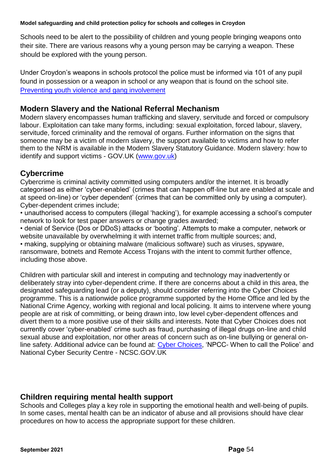Schools need to be alert to the possibility of children and young people bringing weapons onto their site. There are various reasons why a young person may be carrying a weapon. These should be explored with the young person.

Under Croydon's weapons in schools protocol the police must be informed via 101 of any pupil found in possession or a weapon in school or any weapon that is found on the school site. [Preventing youth violence and gang involvement](https://assets.publishing.service.gov.uk/government/uploads/system/uploads/attachment_data/file/418131/Preventing_youth_violence_and_gang_involvement_v3_March2015.pdf)

## **Modern Slavery and the National Referral Mechanism**

Modern slavery encompasses human trafficking and slavery, servitude and forced or compulsory labour. Exploitation can take many forms, including: sexual exploitation, forced labour, slavery, servitude, forced criminality and the removal of organs. Further information on the signs that someone may be a victim of modern slavery, the support available to victims and how to refer them to the NRM is available in the Modern Slavery Statutory Guidance. Modern slavery: how to identify and support victims - GOV.UK [\(www.gov.uk\)](http://www.gov.uk/)

## **Cybercrime**

Cybercrime is criminal activity committed using computers and/or the internet. It is broadly categorised as either 'cyber-enabled' (crimes that can happen off-line but are enabled at scale and at speed on-line) or 'cyber dependent' (crimes that can be committed only by using a computer). Cyber-dependent crimes include;

• unauthorised access to computers (illegal 'hacking'), for example accessing a school's computer network to look for test paper answers or change grades awarded;

• denial of Service (Dos or DDoS) attacks or 'booting'. Attempts to make a computer, network or website unavailable by overwhelming it with internet traffic from multiple sources; and,

• making, supplying or obtaining malware (malicious software) such as viruses, spyware, ransomware, botnets and Remote Access Trojans with the intent to commit further offence, including those above.

Children with particular skill and interest in computing and technology may inadvertently or deliberately stray into cyber-dependent crime. If there are concerns about a child in this area, the designated safeguarding lead (or a deputy), should consider referring into the Cyber Choices programme. This is a nationwide police programme supported by the Home Office and led by the National Crime Agency, working with regional and local policing. It aims to intervene where young people are at risk of committing, or being drawn into, low level cyber-dependent offences and divert them to a more positive use of their skills and interests. Note that Cyber Choices does not currently cover 'cyber-enabled' crime such as fraud, purchasing of illegal drugs on-line and child sexual abuse and exploitation, nor other areas of concern such as on-line bullying or general on-line safety. Additional advice can be found at: [Cyber Choices,](https://nationalcrimeagency.gov.uk/what-we-do/crime-threats/cyber-crime/cyberchoices) 'NPCC- When to call the Police' and National Cyber Security Centre - NCSC.GOV.UK

## **Children requiring mental health support**

Schools and Colleges play a key role in supporting the emotional health and well-being of pupils. In some cases, mental health can be an indicator of abuse and all provisions should have clear procedures on how to access the appropriate support for these children.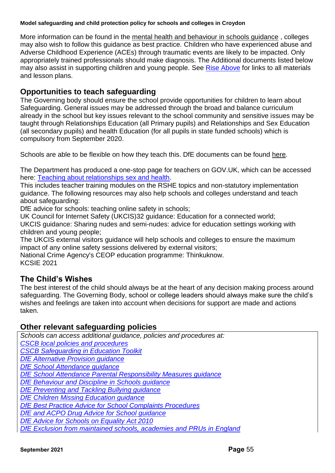More information can be found in the [mental health and behaviour in schools guidance](https://www.gov.uk/government/publications/mental-health-and-behaviour-in-schools--2) , colleges may also wish to follow this guidance as best practice. Children who have experienced abuse and Adverse Childhood Experience (ACEs) through traumatic events are likely to be impacted. Only appropriately trained professionals should make diagnosis. The Additional documents listed below may also assist in supporting children and young people. See [Rise Above](https://riseabove.org.uk/) for links to all materials and lesson plans.

## **Opportunities to teach safeguarding**

The Governing body should ensure the school provide opportunities for children to learn about Safeguarding. General issues may be addressed through the broad and balance curriculum already in the school but key issues relevant to the school community and sensitive issues may be taught through Relationships Education (all Primary pupils) and Relationships and Sex Education (all secondary pupils) and health Education (for all pupils in state funded schools) which is compulsory from September 2020.

Schools are able to be flexible on how they teach this. DfE documents can be found [here.](https://www.gov.uk/government/publications/relationships-education-relationships-and-sex-education-rse-and-health-education)

The Department has produced a one-stop page for teachers on GOV.UK, which can be accessed here: [Teaching about relationships sex and health.](https://www.gov.uk/guidance/teaching-about-relationships-sex-and-health)

This includes teacher training modules on the RSHE topics and non-statutory implementation guidance. The following resources may also help schools and colleges understand and teach about safeguarding:

DfE advice for schools: teaching online safety in schools;

UK Council for Internet Safety (UKCIS)32 guidance: Education for a connected world; UKCIS guidance: Sharing nudes and semi-nudes: advice for education settings working with children and young people;

The UKCIS external visitors guidance will help schools and colleges to ensure the maximum impact of any online safety sessions delivered by external visitors;

National Crime Agency's CEOP education programme: Thinkuknow. KCSIE 2021

## **The Child's Wishes**

The best interest of the child should always be at the heart of any decision making process around safeguarding. The Governing Body, school or college leaders should always make sure the child's wishes and feelings are taken into account when decisions for support are made and actions taken.

## **Other relevant safeguarding policies**

*Schools can access additional guidance, policies and procedures at:*

*[CSCB local policies and procedures](http://croydonlcsb.org.uk/professionals/policies/)*

*[CSCB Safeguarding in Education Toolkit](http://croydonlcsb.org.uk/professionals/education-safeguarding-toolkit/)*

*[DfE Alternative Provision guidance](https://assets.publishing.service.gov.uk/government/uploads/system/uploads/attachment_data/file/268940/alternative_provision_statutory_guidance_pdf_version.pdf)*

*[DfE School Attendance guidance](https://assets.publishing.service.gov.uk/government/uploads/system/uploads/attachment_data/file/739764/Guidance_on_school_attendance_Sept_2018.pdf)*

*[DfE School Attendance Parental Responsibility Measures guidance](https://assets.publishing.service.gov.uk/government/uploads/system/uploads/attachment_data/file/581539/School_attendance_parental_responsibility_measures_statutory_guidance.pdf)*

*[DfE Behaviour and Discipline in Schools guidance](https://assets.publishing.service.gov.uk/government/uploads/system/uploads/attachment_data/file/463484/Behaviour_and_discipline_in_schools_guidance_for_governing_bodies.pdf)*

*[DfE Preventing and Tackling Bullying guidance](https://assets.publishing.service.gov.uk/government/uploads/system/uploads/attachment_data/file/623895/Preventing_and_tackling_bullying_advice.pdf)* 

*[DfE Children Missing Education guidance](https://assets.publishing.service.gov.uk/government/uploads/system/uploads/attachment_data/file/550416/Children_Missing_Education_-_statutory_guidance.pdf)*

*[DfE Best Practice Advice for School Complaints Procedures](https://assets.publishing.service.gov.uk/government/uploads/system/uploads/attachment_data/file/489056/Best_Practice_Advice_for_School_Complaints_2016.pdf)*

*[DfE and ACPO Drug Advice for School](https://assets.publishing.service.gov.uk/government/uploads/system/uploads/attachment_data/file/270169/drug_advice_for_schools.pdf) [guidance](https://assets.publishing.service.gov.uk/government/uploads/system/uploads/attachment_data/file/270169/drug_advice_for_schools.pdf)*

*[DfE Advice for Schools on Equality Act 2010](https://assets.publishing.service.gov.uk/government/uploads/system/uploads/attachment_data/file/315587/Equality_Act_Advice_Final.pdf)*

*[DfE Exclusion from maintained schools, academies and PRUs in](https://assets.publishing.service.gov.uk/government/uploads/system/uploads/attachment_data/file/641418/20170831_Exclusion_Stat_guidance_Web_version.pdf) England*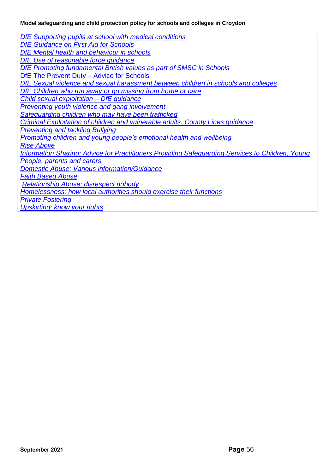*[DfE Supporting pupils at school with medical conditions](https://assets.publishing.service.gov.uk/government/uploads/system/uploads/attachment_data/file/638267/supporting-pupils-at-school-with-medical-conditions.pdf) [DfE Guidance on First Aid for Schools](https://assets.publishing.service.gov.uk/government/uploads/system/uploads/attachment_data/file/306370/guidance_on_first_aid_for_schools.pdf) DfE Mental health [and behaviour in schools](https://assets.publishing.service.gov.uk/government/uploads/system/uploads/attachment_data/file/508847/Mental_Health_and_Behaviour_-_advice_for_Schools_160316.pdf) [DfE Use of reasonable force guidance](https://assets.publishing.service.gov.uk/government/uploads/system/uploads/attachment_data/file/444051/Use_of_reasonable_force_advice_Reviewed_July_2015.pdf) [DfE Promoting fundamental British values as part of SMSC in Schools](https://assets.publishing.service.gov.uk/government/uploads/system/uploads/attachment_data/file/380595/SMSC_Guidance_Maintained_Schools.pdf)* [DfE The Prevent Duty –](https://assets.publishing.service.gov.uk/government/uploads/system/uploads/attachment_data/file/439598/prevent-duty-departmental-advice-v6.pdf) Advice for Schools *[DfE Sexual violence and sexual harassment between children in schools and colleges](https://assets.publishing.service.gov.uk/government/uploads/system/uploads/attachment_data/file/719902/Sexual_violence_and_sexual_harassment_between_children_in_schools_and_colleges.pdf) [DfE Children who run away or go missing from home or care](https://assets.publishing.service.gov.uk/government/uploads/system/uploads/attachment_data/file/307867/Statutory_Guidance_-_Missing_from_care__3_.pdf) [Child sexual exploitation –](https://assets.publishing.service.gov.uk/government/uploads/system/uploads/attachment_data/file/591903/CSE_Guidance_Core_Document_13.02.2017.pdf) DfE guidance [Preventing youth violence and gang involvement](https://assets.publishing.service.gov.uk/government/uploads/system/uploads/attachment_data/file/418131/Preventing_youth_violence_and_gang_involvement_v3_March2015.pdf) [Safeguarding children who may have been trafficked](https://assets.publishing.service.gov.uk/government/uploads/system/uploads/attachment_data/file/177033/DFE-00084-2011.pdf) [Criminal Exploitation of children and vulnerable adults: County Lines guidance](https://assets.publishing.service.gov.uk/government/uploads/system/uploads/attachment_data/file/741194/HOCountyLinesGuidanceSept2018.pdf) [Preventing and tackling Bullying](https://assets.publishing.service.gov.uk/government/uploads/system/uploads/attachment_data/file/623895/Preventing_and_tackling_bullying_advice.pdf) [Promoting children and young people's emotional health and wellbeing](https://www.gov.uk/government/publications/promoting-children-and-young-peoples-emotional-health-and-wellbeing) [Rise Above](https://campaignresources.phe.gov.uk/schools/topics/rise-above/overview) [Information Sharing: Advice for Practitioners Providing Safeguarding Services to Children, Young](https://www.gov.uk/government/publications/safeguarding-practitioners-information-sharing-advice)  [People, parents and carers](https://www.gov.uk/government/publications/safeguarding-practitioners-information-sharing-advice) [Domestic Abuse: Various information/Guidance](https://www.gov.uk/guidance/domestic-abuse-how-to-get-help) [Faith Based Abuse](https://www.gov.uk/government/publications/national-action-plan-to-tackle-child-abuse-linked-to-faith-or-belief) [Relationship Abuse: disrespect nobody](https://www.disrespectnobody.co.uk/relationship-abuse/what-is-relationship-abuse/) [Homelessness: how local authorities should exercise their functions](https://www.gov.uk/guidance/homelessness-code-of-guidance-for-local-authorities) [Private Fostering](https://www.gov.uk/government/publications/children-act-1989-private-fostering) [Upskirting: know your rights](https://www.gov.uk/government/news/upskirting-know-your-rights)*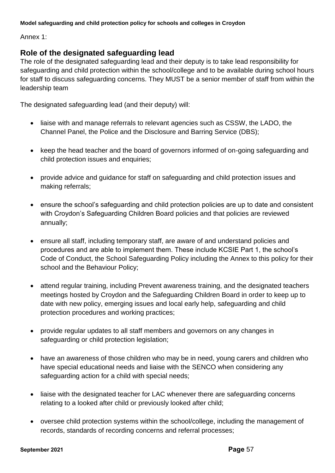Annex 1:

## **Role of the designated safeguarding lead**

The role of the designated safeguarding lead and their deputy is to take lead responsibility for safeguarding and child protection within the school/college and to be available during school hours for staff to discuss safeguarding concerns. They MUST be a senior member of staff from within the leadership team

The designated safeguarding lead (and their deputy) will:

- liaise with and manage referrals to relevant agencies such as CSSW, the LADO, the Channel Panel, the Police and the Disclosure and Barring Service (DBS);
- keep the head teacher and the board of governors informed of on-going safeguarding and child protection issues and enquiries;
- provide advice and guidance for staff on safeguarding and child protection issues and making referrals;
- ensure the school's safeguarding and child protection policies are up to date and consistent with Croydon's Safeguarding Children Board policies and that policies are reviewed annually;
- ensure all staff, including temporary staff, are aware of and understand policies and procedures and are able to implement them. These include KCSIE Part 1, the school's Code of Conduct, the School Safeguarding Policy including the Annex to this policy for their school and the Behaviour Policy;
- attend regular training, including Prevent awareness training, and the designated teachers meetings hosted by Croydon and the Safeguarding Children Board in order to keep up to date with new policy, emerging issues and local early help, safeguarding and child protection procedures and working practices;
- provide regular updates to all staff members and governors on any changes in safeguarding or child protection legislation;
- have an awareness of those children who may be in need, young carers and children who have special educational needs and liaise with the SENCO when considering any safeguarding action for a child with special needs;
- liaise with the designated teacher for LAC whenever there are safeguarding concerns relating to a looked after child or previously looked after child;
- oversee child protection systems within the school/college, including the management of records, standards of recording concerns and referral processes;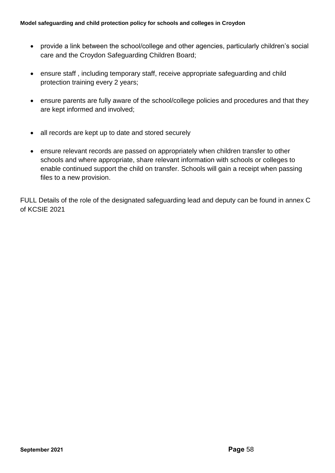- provide a link between the school/college and other agencies, particularly children's social care and the Croydon Safeguarding Children Board;
- ensure staff , including temporary staff, receive appropriate safeguarding and child protection training every 2 years;
- ensure parents are fully aware of the school/college policies and procedures and that they are kept informed and involved;
- all records are kept up to date and stored securely
- ensure relevant records are passed on appropriately when children transfer to other schools and where appropriate, share relevant information with schools or colleges to enable continued support the child on transfer. Schools will gain a receipt when passing files to a new provision.

FULL Details of the role of the designated safeguarding lead and deputy can be found in annex C of KCSIE 2021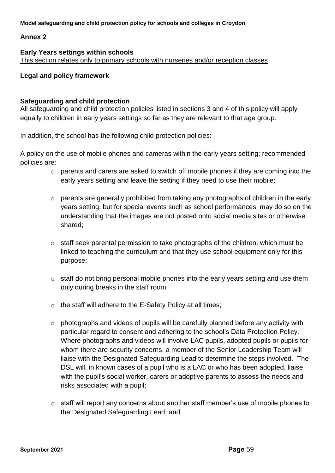### **Annex 2**

#### **Early Years settings within schools** This section relates only to primary schools with nurseries and/or reception classes

### **Legal and policy framework**

### **Safeguarding and child protection**

All safeguarding and child protection policies listed in sections 3 and 4 of this policy will apply equally to children in early years settings so far as they are relevant to that age group.

In addition, the school has the following child protection policies:

A policy on the use of mobile phones and cameras within the early years setting; recommended policies are:

- o parents and carers are asked to switch off mobile phones if they are coming into the early years setting and leave the setting if they need to use their mobile;
- o parents are generally prohibited from taking any photographs of children in the early years setting, but for special events such as school performances, may do so on the understanding that the images are not posted onto social media sites or otherwise shared;
- $\circ$  staff seek parental permission to take photographs of the children, which must be linked to teaching the curriculum and that they use school equipment only for this purpose;
- o staff do not bring personal mobile phones into the early years setting and use them only during breaks in the staff room;
- $\circ$  the staff will adhere to the E-Safety Policy at all times;
- $\circ$  photographs and videos of pupils will be carefully planned before any activity with particular regard to consent and adhering to the school's Data Protection Policy. Where photographs and videos will involve LAC pupils, adopted pupils or pupils for whom there are security concerns, a member of the Senior Leadership Team will liaise with the Designated Safeguarding Lead to determine the steps involved. The DSL will, in known cases of a pupil who is a LAC or who has been adopted, liaise with the pupil's social worker, carers or adoptive parents to assess the needs and risks associated with a pupil;
- $\circ$  staff will report any concerns about another staff member's use of mobile phones to the Designated Safeguarding Lead; and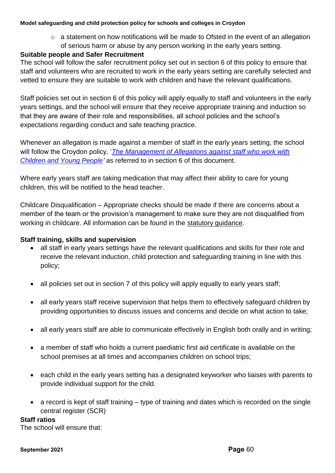o a statement on how notifications will be made to Ofsted in the event of an allegation of serious harm or abuse by any person working in the early years setting.

## **Suitable people and Safer Recruitment**

The school will follow the safer recruitment policy set out in section 6 of this policy to ensure that staff and volunteers who are recruited to work in the early years setting are carefully selected and vetted to ensure they are suitable to work with children and have the relevant qualifications.

Staff policies set out in section 6 of this policy will apply equally to staff and volunteers in the early years settings, and the school will ensure that they receive appropriate training and induction so that they are aware of their role and responsibilities, all school policies and the school's expectations regarding conduct and safe teaching practice.

Whenever an allegation is made against a member of staff in the early years setting, the school will follow the Croydon policy, '*[The Management of Allegations against staff who work with](http://croydonlcsb.org.uk/professionals/allegations-complaints/)  [Children and Young People'](http://croydonlcsb.org.uk/professionals/allegations-complaints/)* as referred to in section 6 of this document.

Where early years staff are taking medication that may affect their ability to care for young children, this will be notified to the head teacher.

Childcare Disqualification – Appropriate checks should be made if there are concerns about a member of the team or the provision's management to make sure they are not disqualified from working in childcare. All information can be found in the [statutory guidance.](https://www.gov.uk/government/publications/disqualification-under-the-childcare-act-2006)

## **Staff training, skills and supervision**

- all staff in early years settings have the relevant qualifications and skills for their role and receive the relevant induction, child protection and safeguarding training in line with this policy;
- all policies set out in section 7 of this policy will apply equally to early years staff;
- all early years staff receive supervision that helps them to effectively safeguard children by providing opportunities to discuss issues and concerns and decide on what action to take;
- all early years staff are able to communicate effectively in English both orally and in writing;
- a member of staff who holds a current paediatric first aid certificate is available on the school premises at all times and accompanies children on school trips;
- each child in the early years setting has a designated keyworker who liaises with parents to provide individual support for the child.
- a record is kept of staff training type of training and dates which is recorded on the single central register (SCR)

### **Staff ratios**

The school will ensure that: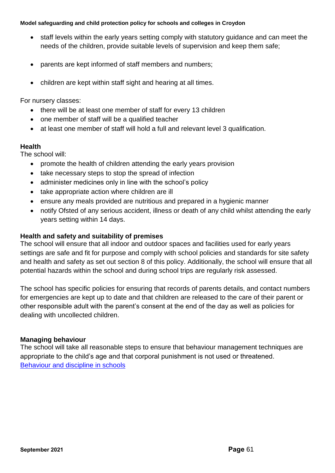- staff levels within the early years setting comply with statutory guidance and can meet the needs of the children, provide suitable levels of supervision and keep them safe;
- parents are kept informed of staff members and numbers;
- children are kept within staff sight and hearing at all times.

For nursery classes:

- there will be at least one member of staff for every 13 children
- one member of staff will be a qualified teacher
- at least one member of staff will hold a full and relevant level 3 qualification.

### **Health**

The school will:

- promote the health of children attending the early years provision
- take necessary steps to stop the spread of infection
- administer medicines only in line with the school's policy
- take appropriate action where children are ill
- ensure any meals provided are nutritious and prepared in a hygienic manner
- notify Ofsted of any serious accident, illness or death of any child whilst attending the early years setting within 14 days.

### **Health and safety and suitability of premises**

The school will ensure that all indoor and outdoor spaces and facilities used for early years settings are safe and fit for purpose and comply with school policies and standards for site safety and health and safety as set out section 8 of this policy. Additionally, the school will ensure that all potential hazards within the school and during school trips are regularly risk assessed.

The school has specific policies for ensuring that records of parents details, and contact numbers for emergencies are kept up to date and that children are released to the care of their parent or other responsible adult with the parent's consent at the end of the day as well as policies for dealing with uncollected children.

## **Managing behaviour**

The school will take all reasonable steps to ensure that behaviour management techniques are appropriate to the child's age and that corporal punishment is not used or threatened. [Behaviour and discipline in schools](https://assets.publishing.service.gov.uk/government/uploads/system/uploads/attachment_data/file/488034/Behaviour_and_Discipline_in_Schools_-_A_guide_for_headteachers_and_School_Staff.pdf)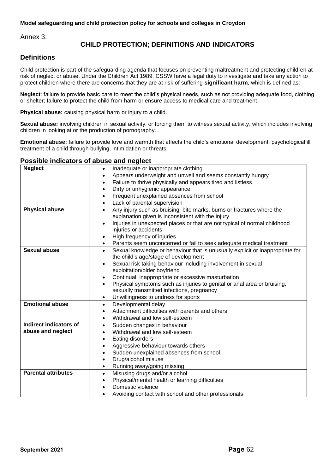Annex 3:

## **CHILD PROTECTION; DEFINITIONS AND INDICATORS**

#### **Definitions**

Child protection is part of the safeguarding agenda that focuses on preventing maltreatment and protecting children at risk of neglect or abuse. Under the Children Act 1989, CSSW have a legal duty to investigate and take any action to protect children where there are concerns that they are at risk of suffering **significant harm**, which is defined as:

**Neglect**: failure to provide basic care to meet the child's physical needs, such as not providing adequate food, clothing or shelter; failure to protect the child from harm or ensure access to medical care and treatment.

**Physical abuse:** causing physical harm or injury to a child.

**Sexual abuse:** involving children in sexual activity, or forcing them to witness sexual activity, which includes involving children in looking at or the production of pornography.

**Emotional abuse:** failure to provide love and warmth that affects the child's emotional development; psychological ill treatment of a child through bullying, intimidation or threats.

#### **Possible indicators of abuse and neglect**

| <b>Neglect</b>             | Inadequate or inappropriate clothing<br>$\bullet$                                          |  |  |  |  |  |
|----------------------------|--------------------------------------------------------------------------------------------|--|--|--|--|--|
|                            | Appears underweight and unwell and seems constantly hungry                                 |  |  |  |  |  |
|                            | Failure to thrive physically and appears tired and listless                                |  |  |  |  |  |
|                            | Dirty or unhygienic appearance                                                             |  |  |  |  |  |
|                            | Frequent unexplained absences from school                                                  |  |  |  |  |  |
|                            | Lack of parental supervision                                                               |  |  |  |  |  |
| <b>Physical abuse</b>      | Any injury such as bruising, bite marks, burns or fractures where the<br>$\bullet$         |  |  |  |  |  |
|                            | explanation given is inconsistent with the injury                                          |  |  |  |  |  |
|                            | Injuries in unexpected places or that are not typical of normal childhood                  |  |  |  |  |  |
|                            | injuries or accidents                                                                      |  |  |  |  |  |
|                            | High frequency of injuries                                                                 |  |  |  |  |  |
|                            | Parents seem unconcerned or fail to seek adequate medical treatment                        |  |  |  |  |  |
| <b>Sexual abuse</b>        | Sexual knowledge or behaviour that is unusually explicit or inappropriate for<br>$\bullet$ |  |  |  |  |  |
|                            | the child's age/stage of development                                                       |  |  |  |  |  |
|                            | Sexual risk taking behaviour including involvement in sexual<br>$\bullet$                  |  |  |  |  |  |
|                            | exploitation/older boyfriend                                                               |  |  |  |  |  |
|                            | Continual, inappropriate or excessive masturbation                                         |  |  |  |  |  |
|                            | Physical symptoms such as injuries to genital or anal area or bruising,                    |  |  |  |  |  |
|                            | sexually transmitted infections, pregnancy                                                 |  |  |  |  |  |
|                            | Unwillingness to undress for sports<br>$\bullet$                                           |  |  |  |  |  |
| <b>Emotional abuse</b>     | Developmental delay<br>$\bullet$                                                           |  |  |  |  |  |
|                            | Attachment difficulties with parents and others                                            |  |  |  |  |  |
|                            | Withdrawal and low self-esteem<br>$\bullet$                                                |  |  |  |  |  |
| Indirect indicators of     | Sudden changes in behaviour<br>$\bullet$                                                   |  |  |  |  |  |
| abuse and neglect          | Withdrawal and low self-esteem                                                             |  |  |  |  |  |
|                            | Eating disorders<br>$\bullet$                                                              |  |  |  |  |  |
|                            | Aggressive behaviour towards others                                                        |  |  |  |  |  |
|                            | Sudden unexplained absences from school<br>$\bullet$                                       |  |  |  |  |  |
|                            | Drug/alcohol misuse                                                                        |  |  |  |  |  |
|                            | Running away/going missing                                                                 |  |  |  |  |  |
| <b>Parental attributes</b> | Misusing drugs and/or alcohol<br>$\bullet$                                                 |  |  |  |  |  |
|                            | Physical/mental health or learning difficulties                                            |  |  |  |  |  |
|                            | Domestic violence                                                                          |  |  |  |  |  |
|                            | Avoiding contact with school and other professionals                                       |  |  |  |  |  |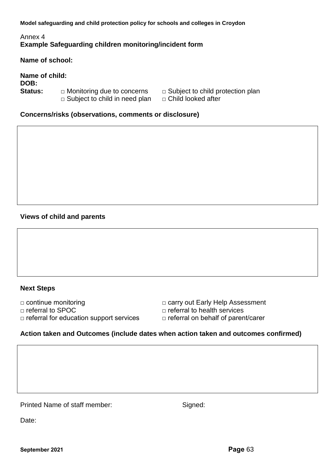## Annex 4 **Example Safeguarding children monitoring/incident form**

**Name of school:**

**Name of child: DOB: Status:** □ Monitoring due to concerns □ Subject to child protection plan □ Subject to child in need plan □ Child looked after

- 
- 

**Concerns/risks (observations, comments or disclosure)**

## **Views of child and parents**

### **Next Steps**

□ continue monitoring □ □ □ carry out Early Help Assessment □ referral to SPOC □ referral to health services □ referral for education support services □ referral on behalf of parent/carer

### **Action taken and Outcomes (include dates when action taken and outcomes confirmed)**

Printed Name of staff member: Signed:

Date: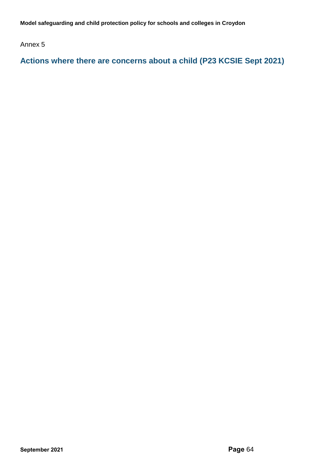Annex 5

**Actions where there are concerns about a child (P23 KCSIE Sept 2021)**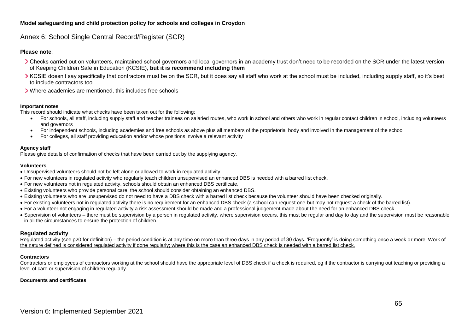#### Annex 6: School Single Central Record/Register (SCR)

#### **Please note**:

- > Checks carried out on volunteers, maintained school governors and local governors in an academy trust don't need to be recorded on the SCR under the latest version of Keeping Children Safe in Education (KCSIE), **but it is recommend including them**
- XCSIE doesn't say specifically that contractors must be on the SCR, but it does say all staff who work at the school must be included, including supply staff, so it's best to include contractors too
- Where academies are mentioned, this includes free schools

#### **Important notes**

This record should indicate what checks have been taken out for the following:

- For schools, all staff, including supply staff and teacher trainees on salaried routes, who work in school and others who work in regular contact children in school, including volunteers and governors
- For independent schools, including academies and free schools as above plus all members of the proprietorial body and involved in the management of the school
- For colleges, all staff providing education and/or whose positions involve a relevant activity

#### **Agency staff**

Please give details of confirmation of checks that have been carried out by the supplying agency.

#### **Volunteers**

- Unsupervised volunteers should not be left alone or allowed to work in regulated activity.
- For new volunteers in regulated activity who regularly teach children unsupervised an enhanced DBS is needed with a barred list check.
- For new volunteers not in regulated activity, schools should obtain an enhanced DBS certificate.
- Existing volunteers who provide personal care, the school should consider obtaining an enhanced DBS.
- Existing volunteers who are unsupervised do not need to have a DBS check with a barred list check because the volunteer should have been checked originally.
- For existing volunteers not in regulated activity there is no requirement for an enhanced DBS check (a school can request one but may not request a check of the barred list).
- For a volunteer not engaging in regulated activity a risk assessment should be made and a professional judgement made about the need for an enhanced DBS check.
- Supervision of volunteers there must be supervision by a person in regulated activity, where supervision occurs, this must be regular and day to day and the supervision must be reasonable in all the circumstances to ensure the protection of children.

#### **Regulated activity**

Regulated activity (see p20 for definition) – the period condition is at any time on more than three days in any period of 30 days. 'Frequently' is doing something once a week or more. Work of the nature defined is considered regulated activity if done regularly; where this is the case an enhanced DBS check is needed with a barred list check.

#### **Contractors**

Contractors or employees of contractors working at the school should have the appropriate level of DBS check if a check is required, eg if the contractor is carrying out teaching or providing a level of care or supervision of children regularly.

#### **Documents and certificates**